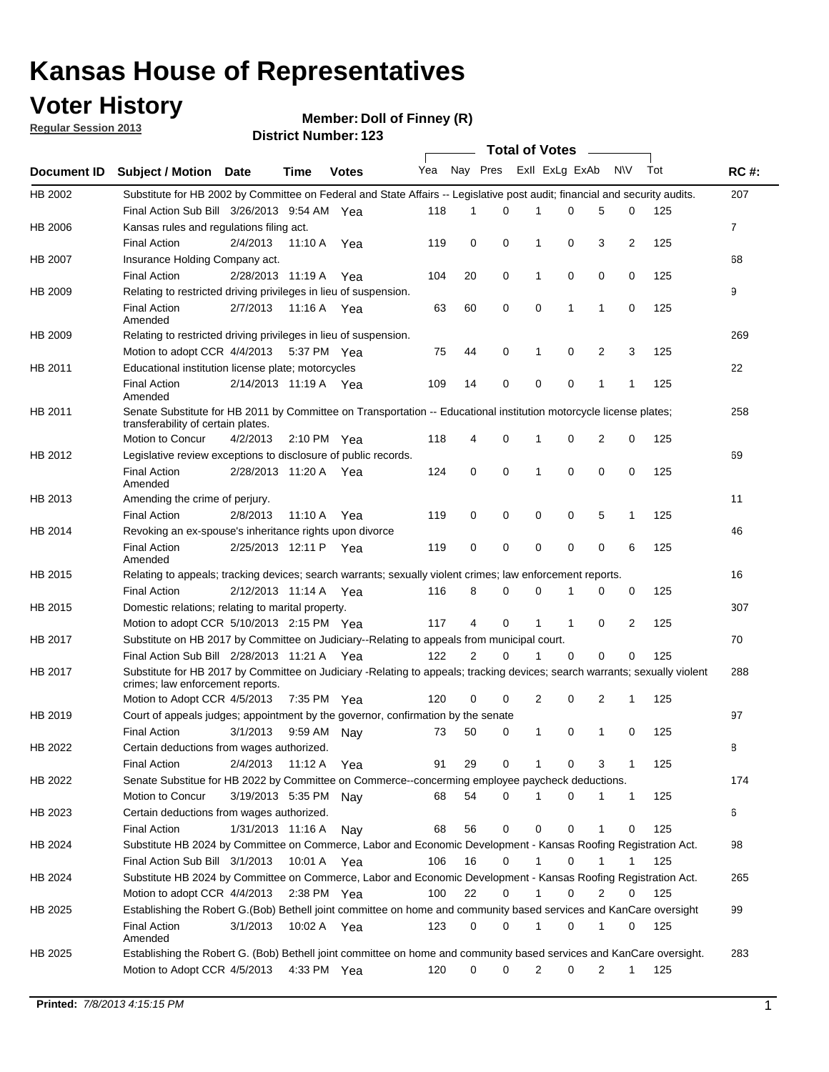### **Voter History**

**Member: Doll of Finney (R)** 

**Regular Session 2013**

|             |                                                                                                                            |          |                       |              |                             |    | Total of Votes ______ |   |   |                |              |     |                |
|-------------|----------------------------------------------------------------------------------------------------------------------------|----------|-----------------------|--------------|-----------------------------|----|-----------------------|---|---|----------------|--------------|-----|----------------|
| Document ID | <b>Subject / Motion Date</b>                                                                                               |          | Time                  | <b>Votes</b> | Yea Nay Pres ExII ExLg ExAb |    |                       |   |   |                | <b>NV</b>    | Tot | <b>RC#:</b>    |
| HB 2002     | Substitute for HB 2002 by Committee on Federal and State Affairs -- Legislative post audit; financial and security audits. |          |                       |              |                             |    |                       |   |   |                |              |     | 207            |
|             | Final Action Sub Bill 3/26/2013 9:54 AM Yea                                                                                |          |                       |              | 118                         | 1  | 0                     |   | 0 | 5              | 0            | 125 |                |
| HB 2006     | Kansas rules and regulations filing act.                                                                                   |          |                       |              |                             |    |                       |   |   |                |              |     | $\overline{7}$ |
|             | <b>Final Action</b>                                                                                                        | 2/4/2013 | 11:10 A               | Yea          | 119                         | 0  | 0                     | 1 | 0 | 3              | 2            | 125 |                |
| HB 2007     | Insurance Holding Company act.                                                                                             |          |                       |              |                             |    |                       |   |   |                |              |     | 68             |
|             | <b>Final Action</b>                                                                                                        |          | 2/28/2013 11:19 A     | Yea          | 104                         | 20 | 0                     | 1 | 0 | 0              | 0            | 125 |                |
| HB 2009     | Relating to restricted driving privileges in lieu of suspension.                                                           |          |                       |              |                             |    |                       |   |   |                |              |     | 9              |
|             | <b>Final Action</b>                                                                                                        | 2/7/2013 | 11:16 A Yea           |              | 63                          | 60 | 0                     | 0 | 1 | 1              | 0            | 125 |                |
|             | Amended                                                                                                                    |          |                       |              |                             |    |                       |   |   |                |              |     |                |
| HB 2009     | Relating to restricted driving privileges in lieu of suspension.                                                           |          |                       |              |                             |    |                       |   |   |                |              |     | 269            |
|             | Motion to adopt CCR 4/4/2013                                                                                               |          | 5:37 PM Yea           |              | 75                          | 44 | 0                     | 1 | 0 | 2              | 3            | 125 |                |
| HB 2011     | Educational institution license plate; motorcycles                                                                         |          |                       |              |                             |    |                       |   |   |                |              |     | 22             |
|             | <b>Final Action</b><br>Amended                                                                                             |          | 2/14/2013 11:19 A Yea |              | 109                         | 14 | 0                     | 0 | 0 | 1              | 1            | 125 |                |
| HB 2011     | Senate Substitute for HB 2011 by Committee on Transportation -- Educational institution motorcycle license plates;         |          |                       |              |                             |    |                       |   |   |                |              |     | 258            |
|             | transferability of certain plates.                                                                                         |          |                       |              |                             |    |                       |   |   |                |              |     |                |
|             | Motion to Concur                                                                                                           | 4/2/2013 | $2:10 \text{ PM}$ Yea |              | 118                         | 4  | 0                     | 1 | 0 | 2              | 0            | 125 |                |
| HB 2012     | Legislative review exceptions to disclosure of public records.                                                             |          |                       |              |                             |    |                       |   |   |                |              |     | 69             |
|             | <b>Final Action</b><br>Amended                                                                                             |          | 2/28/2013 11:20 A Yea |              | 124                         | 0  | 0                     | 1 | 0 | 0              | 0            | 125 |                |
| HB 2013     | Amending the crime of perjury.                                                                                             |          |                       |              |                             |    |                       |   |   |                |              |     | 11             |
|             | <b>Final Action</b>                                                                                                        | 2/8/2013 | 11:10 A               | Yea          | 119                         | 0  | 0                     | 0 | 0 | 5              | 1            | 125 |                |
| HB 2014     | Revoking an ex-spouse's inheritance rights upon divorce                                                                    |          |                       |              |                             |    |                       |   |   |                |              |     | 46             |
|             | <b>Final Action</b><br>Amended                                                                                             |          | 2/25/2013 12:11 P Yea |              | 119                         | 0  | 0                     | 0 | 0 | 0              | 6            | 125 |                |
| HB 2015     | Relating to appeals; tracking devices; search warrants; sexually violent crimes; law enforcement reports.                  |          |                       |              |                             |    |                       |   |   |                |              |     | 16             |
|             | <b>Final Action</b>                                                                                                        |          | 2/12/2013 11:14 A     | Yea          | 116                         | 8  | 0                     | 0 | 1 | 0              | 0            | 125 |                |
| HB 2015     | Domestic relations; relating to marital property.                                                                          |          |                       |              |                             |    |                       |   |   |                |              |     | 307            |
|             | Motion to adopt CCR 5/10/2013 2:15 PM Yea                                                                                  |          |                       |              | 117                         | 4  | 0                     | 1 | 1 | 0              | 2            | 125 |                |
| HB 2017     | Substitute on HB 2017 by Committee on Judiciary--Relating to appeals from municipal court.                                 |          |                       |              |                             |    |                       |   |   |                |              |     | 70             |
|             | Final Action Sub Bill 2/28/2013 11:21 A Yea                                                                                |          |                       |              | 122                         | 2  | 0                     | 1 | 0 | 0              | 0            | 125 |                |
| HB 2017     | Substitute for HB 2017 by Committee on Judiciary -Relating to appeals; tracking devices; search warrants; sexually violent |          |                       |              |                             |    |                       |   |   |                |              |     | 288            |
|             | crimes; law enforcement reports.                                                                                           |          |                       |              |                             |    |                       |   |   |                |              |     |                |
|             | Motion to Adopt CCR 4/5/2013                                                                                               |          | 7:35 PM Yea           |              | 120                         | 0  | 0                     | 2 | 0 | 2              | 1            | 125 |                |
| HB 2019     | Court of appeals judges; appointment by the governor, confirmation by the senate                                           |          |                       |              |                             |    |                       |   |   |                |              |     | 97             |
|             | Final Action                                                                                                               | 3/1/2013 | 9:59 AM Nay           |              | 73                          | 50 | 0                     | 1 | 0 | 1              | 0            | 125 |                |
| HB 2022     | Certain deductions from wages authorized.                                                                                  |          |                       |              |                             |    |                       |   |   |                |              |     | В              |
|             | Final Action                                                                                                               | 2/4/2013 | 11:12 A               | Yea          | 91                          | 29 | 0                     |   | 0 | 3              | 1            | 125 |                |
| HB 2022     | Senate Substitue for HB 2022 by Committee on Commerce--concerming employee paycheck deductions.                            |          |                       |              |                             |    |                       |   |   |                |              |     | 174            |
|             | Motion to Concur                                                                                                           |          | 3/19/2013 5:35 PM Nay |              | 68                          | 54 | 0                     | 1 | 0 | 1              | $\mathbf{1}$ | 125 |                |
| HB 2023     | Certain deductions from wages authorized.                                                                                  |          |                       |              |                             |    |                       |   |   |                |              |     | 6              |
|             | Final Action                                                                                                               |          | 1/31/2013 11:16 A     | Nav          | 68                          | 56 | 0                     | 0 | 0 | 1              | 0            | 125 |                |
| HB 2024     | Substitute HB 2024 by Committee on Commerce, Labor and Economic Development - Kansas Roofing Registration Act.             |          |                       |              |                             |    |                       |   |   |                |              |     | 98             |
|             | Final Action Sub Bill 3/1/2013                                                                                             |          | 10:01 A Yea           |              | 106                         | 16 | $\mathbf 0$           | 1 | 0 | 1              | 1            | 125 |                |
| HB 2024     | Substitute HB 2024 by Committee on Commerce, Labor and Economic Development - Kansas Roofing Registration Act.             |          |                       |              |                             |    |                       |   |   |                |              |     | 265            |
|             | Motion to adopt CCR 4/4/2013                                                                                               |          | $2:38$ PM Yea         |              | 100                         | 22 | 0                     | 1 | 0 | $\overline{2}$ | 0            | 125 |                |
| HB 2025     | Establishing the Robert G.(Bob) Bethell joint committee on home and community based services and KanCare oversight         |          |                       |              |                             |    |                       |   |   |                |              |     | 99             |
|             | Final Action<br>Amended                                                                                                    | 3/1/2013 | 10:02 A Yea           |              | 123                         | 0  | 0                     | 1 | 0 | 1              | 0            | 125 |                |
| HB 2025     | Establishing the Robert G. (Bob) Bethell joint committee on home and community based services and KanCare oversight.       |          |                       |              |                             |    |                       |   |   |                |              |     | 283            |
|             |                                                                                                                            |          |                       |              |                             |    |                       |   |   |                |              |     |                |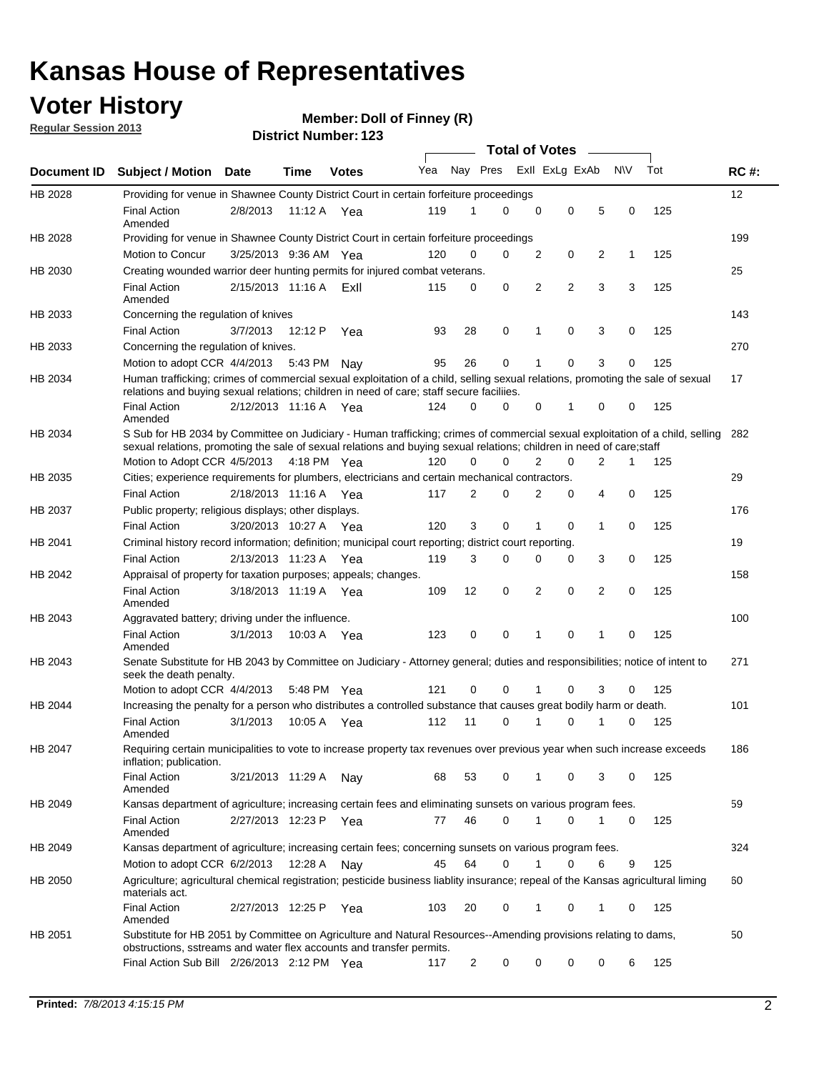### **Voter History**

**Member: Doll of Finney (R)** 

**Regular Session 2013**

|             |                                                                                                                                                                                                                                                       |                       |             |              |     |                | <b>Total of Votes</b> |                |                |                |           |     |             |
|-------------|-------------------------------------------------------------------------------------------------------------------------------------------------------------------------------------------------------------------------------------------------------|-----------------------|-------------|--------------|-----|----------------|-----------------------|----------------|----------------|----------------|-----------|-----|-------------|
| Document ID | <b>Subject / Motion Date</b>                                                                                                                                                                                                                          |                       | Time        | <b>Votes</b> | Yea | Nay Pres       |                       | Exll ExLg ExAb |                |                | <b>NV</b> | Tot | <b>RC#:</b> |
| HB 2028     | Providing for venue in Shawnee County District Court in certain forfeiture proceedings                                                                                                                                                                |                       |             |              |     |                |                       |                |                |                |           |     | 12          |
|             | <b>Final Action</b><br>Amended                                                                                                                                                                                                                        | 2/8/2013              | 11:12 A Yea |              | 119 | 1              | $\Omega$              | $\mathbf 0$    | 0              | 5              | 0         | 125 |             |
| HB 2028     | Providing for venue in Shawnee County District Court in certain forfeiture proceedings                                                                                                                                                                |                       |             |              |     |                |                       |                |                |                |           |     | 199         |
|             | Motion to Concur                                                                                                                                                                                                                                      | 3/25/2013 9:36 AM Yea |             |              | 120 | 0              | 0                     | 2              | 0              | 2              | 1         | 125 |             |
| HB 2030     | Creating wounded warrior deer hunting permits for injured combat veterans.                                                                                                                                                                            |                       |             |              |     |                |                       |                |                |                |           |     | 25          |
|             | <b>Final Action</b><br>Amended                                                                                                                                                                                                                        | 2/15/2013 11:16 A     |             | ExII         | 115 | 0              | 0                     | 2              | $\overline{2}$ | 3              | 3         | 125 |             |
| HB 2033     | Concerning the regulation of knives                                                                                                                                                                                                                   |                       |             |              |     |                |                       |                |                |                |           |     | 143         |
|             | <b>Final Action</b>                                                                                                                                                                                                                                   | 3/7/2013              | 12:12 P     | Yea          | 93  | 28             | 0                     | 1              | 0              | 3              | 0         | 125 |             |
| HB 2033     | Concerning the regulation of knives.                                                                                                                                                                                                                  |                       |             |              |     |                |                       |                |                |                |           |     | 270         |
|             | Motion to adopt CCR 4/4/2013                                                                                                                                                                                                                          |                       | 5:43 PM     | Nav          | 95  | 26             | 0                     |                | 0              | 3              | 0         | 125 |             |
| HB 2034     | Human trafficking; crimes of commercial sexual exploitation of a child, selling sexual relations, promoting the sale of sexual<br>relations and buying sexual relations; children in need of care; staff secure faciliies.                            |                       |             |              |     |                |                       |                |                |                |           |     | 17          |
|             | <b>Final Action</b><br>Amended                                                                                                                                                                                                                        | 2/12/2013 11:16 A Yea |             |              | 124 | $\Omega$       | 0                     | 0              | 1              | 0              | 0         | 125 |             |
| HB 2034     | S Sub for HB 2034 by Committee on Judiciary - Human trafficking; crimes of commercial sexual exploitation of a child, selling<br>sexual relations, promoting the sale of sexual relations and buying sexual relations; children in need of care;staff |                       |             |              |     |                |                       |                |                |                |           |     | 282         |
|             | Motion to Adopt CCR 4/5/2013 4:18 PM Yea                                                                                                                                                                                                              |                       |             |              | 120 | 0              | 0                     | 2              | 0              | $\overline{2}$ | 1         | 125 |             |
| HB 2035     | Cities; experience requirements for plumbers, electricians and certain mechanical contractors.                                                                                                                                                        |                       |             |              |     |                |                       |                |                |                |           |     | 29          |
|             | <b>Final Action</b>                                                                                                                                                                                                                                   | 2/18/2013 11:16 A     |             | Yea          | 117 | 2              | 0                     | 2              | 0              | 4              | 0         | 125 |             |
| HB 2037     | Public property; religious displays; other displays.                                                                                                                                                                                                  |                       |             |              |     |                |                       |                |                |                |           |     | 176         |
|             | <b>Final Action</b>                                                                                                                                                                                                                                   | 3/20/2013 10:27 A     |             | Yea          | 120 | 3              | 0                     | 1              | 0              | 1              | 0         | 125 |             |
| HB 2041     | Criminal history record information; definition; municipal court reporting; district court reporting.                                                                                                                                                 |                       |             |              |     |                |                       |                |                |                |           |     | 19          |
|             | <b>Final Action</b>                                                                                                                                                                                                                                   | 2/13/2013 11:23 A     |             | Yea          | 119 | 3              | 0                     | 0              | 0              | 3              | 0         | 125 |             |
| HB 2042     | Appraisal of property for taxation purposes; appeals; changes.                                                                                                                                                                                        |                       |             |              |     |                |                       |                |                |                |           |     | 158         |
|             | <b>Final Action</b><br>Amended                                                                                                                                                                                                                        | 3/18/2013 11:19 A     |             | Yea          | 109 | 12             | 0                     | 2              | 0              | $\overline{2}$ | 0         | 125 |             |
| HB 2043     | Aggravated battery; driving under the influence.                                                                                                                                                                                                      |                       |             |              |     |                |                       |                |                |                |           |     | 100         |
|             | <b>Final Action</b><br>Amended                                                                                                                                                                                                                        | 3/1/2013              | 10:03 A Yea |              | 123 | 0              | 0                     |                | 0              | 1              | 0         | 125 |             |
| HB 2043     | Senate Substitute for HB 2043 by Committee on Judiciary - Attorney general; duties and responsibilities; notice of intent to<br>seek the death penalty.                                                                                               |                       |             |              |     |                |                       |                |                |                |           |     | 271         |
|             | Motion to adopt CCR 4/4/2013                                                                                                                                                                                                                          |                       | 5:48 PM Yea |              | 121 | 0              | 0                     |                | 0              | 3              | 0         | 125 |             |
| HB 2044     | Increasing the penalty for a person who distributes a controlled substance that causes great bodily harm or death.                                                                                                                                    |                       |             |              |     |                |                       |                |                |                |           |     | 101         |
|             | <b>Final Action</b><br>Amended                                                                                                                                                                                                                        | 3/1/2013              | 10:05 A     | Yea          | 112 | 11             | 0                     |                | 0              |                | 0         | 125 |             |
| HB 2047     | Requiring certain municipalities to vote to increase property tax revenues over previous year when such increase exceeds<br>inflation; publication.                                                                                                   |                       |             |              |     |                |                       |                |                |                |           |     | 186         |
|             | <b>Final Action</b><br>Amended                                                                                                                                                                                                                        | 3/21/2013 11:29 A     |             | Nay          | 68  | 53             | 0                     |                | 0              | 3              | 0         | 125 |             |
| HB 2049     | Kansas department of agriculture; increasing certain fees and eliminating sunsets on various program fees.                                                                                                                                            |                       |             |              |     |                |                       |                |                |                |           |     | 59          |
|             | <b>Final Action</b><br>Amended                                                                                                                                                                                                                        | 2/27/2013 12:23 P     |             | Yea          | 77  | 46             | 0                     | 1              | 0              | 1              | 0         | 125 |             |
| HB 2049     | Kansas department of agriculture; increasing certain fees; concerning sunsets on various program fees.                                                                                                                                                |                       |             |              |     |                |                       |                |                |                |           |     | 324         |
|             | Motion to adopt CCR 6/2/2013                                                                                                                                                                                                                          |                       | 12:28 A     | Nay          | 45  | 64             | 0                     |                | 0              | 6              | 9         | 125 |             |
| HB 2050     | Agriculture; agricultural chemical registration; pesticide business liablity insurance; repeal of the Kansas agricultural liming<br>materials act.                                                                                                    |                       |             |              |     |                |                       |                |                |                |           |     | 60          |
|             | <b>Final Action</b><br>Amended                                                                                                                                                                                                                        | 2/27/2013 12:25 P     |             | Yea          | 103 | 20             | 0                     | 1              | 0              | 1              | 0         | 125 |             |
| HB 2051     | Substitute for HB 2051 by Committee on Agriculture and Natural Resources--Amending provisions relating to dams,<br>obstructions, sstreams and water flex accounts and transfer permits.                                                               |                       |             |              |     |                |                       |                |                |                |           |     | 50          |
|             | Final Action Sub Bill 2/26/2013 2:12 PM Yea                                                                                                                                                                                                           |                       |             |              | 117 | $\overline{c}$ | 0                     | 0              | 0              | 0              | 6         | 125 |             |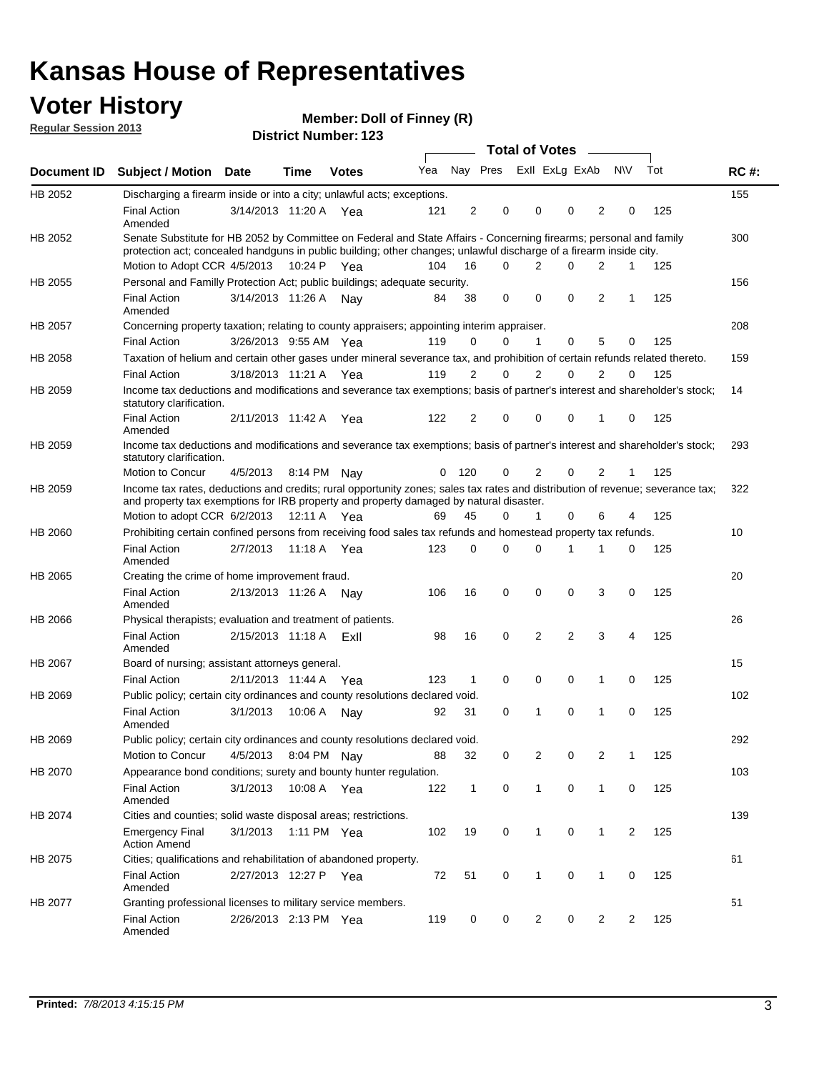### **Voter History**

**Member: Doll of Finney (R)** 

**Regular Session 2013**

|             |                                                                                                                                                                                                                                          |                       |         |              |     |                |             | <b>Total of Votes</b>   |                |                |                |     |             |
|-------------|------------------------------------------------------------------------------------------------------------------------------------------------------------------------------------------------------------------------------------------|-----------------------|---------|--------------|-----|----------------|-------------|-------------------------|----------------|----------------|----------------|-----|-------------|
| Document ID | <b>Subject / Motion Date</b>                                                                                                                                                                                                             |                       | Time    | <b>Votes</b> | Yea |                |             | Nay Pres Exll ExLg ExAb |                |                | <b>NV</b>      | Tot | <b>RC#:</b> |
| HB 2052     | Discharging a firearm inside or into a city; unlawful acts; exceptions.                                                                                                                                                                  |                       |         |              |     |                |             |                         |                |                |                |     | 155         |
|             | <b>Final Action</b><br>Amended                                                                                                                                                                                                           | 3/14/2013 11:20 A     |         | Yea          | 121 | 2              | 0           | $\mathbf 0$             | 0              | 2              | 0              | 125 |             |
| HB 2052     | Senate Substitute for HB 2052 by Committee on Federal and State Affairs - Concerning firearms; personal and family<br>protection act; concealed handguns in public building; other changes; unlawful discharge of a firearm inside city. |                       |         |              |     |                |             |                         |                |                |                |     | 300         |
|             | Motion to Adopt CCR 4/5/2013 10:24 P Yea                                                                                                                                                                                                 |                       |         |              | 104 | 16             | 0           | 2                       | 0              | 2              | $\mathbf{1}$   | 125 |             |
| HB 2055     | Personal and Familly Protection Act; public buildings; adequate security.                                                                                                                                                                |                       |         |              |     |                |             |                         |                |                |                |     | 156         |
|             | <b>Final Action</b><br>Amended                                                                                                                                                                                                           | 3/14/2013 11:26 A     |         | Nav          | 84  | 38             | 0           | $\Omega$                | $\Omega$       | 2              | $\mathbf{1}$   | 125 |             |
| HB 2057     | Concerning property taxation; relating to county appraisers; appointing interim appraiser.                                                                                                                                               |                       |         |              |     |                |             |                         |                |                |                |     | 208         |
|             | <b>Final Action</b>                                                                                                                                                                                                                      | 3/26/2013 9:55 AM Yea |         |              | 119 | 0              | 0           | 1                       | 0              | 5              | 0              | 125 |             |
| HB 2058     | Taxation of helium and certain other gases under mineral severance tax, and prohibition of certain refunds related thereto.                                                                                                              |                       |         |              |     |                |             |                         |                |                |                |     | 159         |
|             | <b>Final Action</b>                                                                                                                                                                                                                      | 3/18/2013 11:21 A     |         | Yea          | 119 | $\overline{2}$ | 0           | 2                       | 0              | $\overline{2}$ | 0              | 125 |             |
| HB 2059     | Income tax deductions and modifications and severance tax exemptions; basis of partner's interest and shareholder's stock;<br>statutory clarification.                                                                                   |                       |         |              |     |                |             |                         |                |                |                |     | 14          |
|             | <b>Final Action</b><br>Amended                                                                                                                                                                                                           | 2/11/2013 11:42 A     |         | Yea          | 122 | 2              | 0           | $\mathbf 0$             | 0              | 1              | 0              | 125 |             |
| HB 2059     | Income tax deductions and modifications and severance tax exemptions; basis of partner's interest and shareholder's stock;<br>statutory clarification.                                                                                   |                       |         |              |     |                |             |                         |                |                |                |     | 293         |
|             | Motion to Concur                                                                                                                                                                                                                         | 4/5/2013              |         | 8:14 PM Nav  | 0   | 120            | 0           | 2                       | 0              | 2              | 1              | 125 |             |
| HB 2059     | Income tax rates, deductions and credits; rural opportunity zones; sales tax rates and distribution of revenue; severance tax;<br>and property tax exemptions for IRB property and property damaged by natural disaster.                 |                       |         |              |     |                |             |                         |                |                |                |     | 322         |
|             | Motion to adopt CCR 6/2/2013                                                                                                                                                                                                             |                       |         | 12:11 A Yea  | 69  | 45             | 0           | 1                       | 0              | 6              | 4              | 125 |             |
| HB 2060     | Prohibiting certain confined persons from receiving food sales tax refunds and homestead property tax refunds.                                                                                                                           |                       |         |              |     |                |             |                         |                |                |                |     | 10          |
|             | <b>Final Action</b><br>Amended                                                                                                                                                                                                           | 2/7/2013              | 11:18 A | Yea          | 123 | 0              | 0           | $\Omega$                | 1              | 1              | 0              | 125 |             |
| HB 2065     | Creating the crime of home improvement fraud.                                                                                                                                                                                            |                       |         |              |     |                |             |                         |                |                |                |     | 20          |
|             | <b>Final Action</b><br>Amended                                                                                                                                                                                                           | 2/13/2013 11:26 A     |         | Nav          | 106 | 16             | 0           | $\mathbf 0$             | 0              | 3              | 0              | 125 |             |
| HB 2066     | Physical therapists; evaluation and treatment of patients.                                                                                                                                                                               |                       |         |              |     |                |             |                         |                |                |                |     | 26          |
|             | <b>Final Action</b><br>Amended                                                                                                                                                                                                           | 2/15/2013 11:18 A     |         | ExII         | 98  | 16             | 0           | 2                       | $\overline{2}$ | 3              | 4              | 125 |             |
| HB 2067     | Board of nursing; assistant attorneys general.                                                                                                                                                                                           |                       |         |              |     |                |             |                         |                |                |                |     | 15          |
|             | <b>Final Action</b>                                                                                                                                                                                                                      | 2/11/2013 11:44 A Yea |         |              | 123 | 1              | 0           | $\mathbf 0$             | 0              | 1              | 0              | 125 |             |
| HB 2069     | Public policy; certain city ordinances and county resolutions declared void.                                                                                                                                                             |                       |         |              |     |                |             |                         |                |                |                |     | 102         |
|             | <b>Final Action</b><br>Amended                                                                                                                                                                                                           | 3/1/2013              | 10:06 A | Nav          | 92  | 31             | 0           | 1                       | 0              | 1              | 0              | 125 |             |
| HB 2069     | Public policy; certain city ordinances and county resolutions declared void.                                                                                                                                                             |                       |         |              |     |                |             |                         |                |                |                |     | 292         |
|             | Motion to Concur                                                                                                                                                                                                                         | 4/5/2013              |         | 8:04 PM Nay  | 88  | 32             | 0           | 2                       | 0              | 2              | 1              | 125 |             |
| HB 2070     | Appearance bond conditions; surety and bounty hunter regulation.                                                                                                                                                                         |                       |         |              |     |                |             |                         |                |                |                |     | 103         |
|             | <b>Final Action</b><br>Amended                                                                                                                                                                                                           | 3/1/2013              |         | 10:08 A Yea  | 122 | $\mathbf{1}$   | $\mathbf 0$ | $\mathbf{1}$            | 0              | 1              | 0              | 125 |             |
| HB 2074     | Cities and counties; solid waste disposal areas; restrictions.                                                                                                                                                                           |                       |         |              |     |                |             |                         |                |                |                |     | 139         |
|             | <b>Emergency Final</b><br><b>Action Amend</b>                                                                                                                                                                                            | 3/1/2013              |         | 1:11 PM Yea  | 102 | 19             | 0           | $\mathbf{1}$            | 0              | 1              | $\overline{2}$ | 125 |             |
| HB 2075     | Cities; qualifications and rehabilitation of abandoned property.                                                                                                                                                                         |                       |         |              |     |                |             |                         |                |                |                |     | 61          |
|             | <b>Final Action</b><br>Amended                                                                                                                                                                                                           | 2/27/2013 12:27 P     |         | Yea          | 72  | 51             | 0           | 1                       | 0              | 1              | 0              | 125 |             |
| HB 2077     | Granting professional licenses to military service members.<br><b>Final Action</b><br>Amended                                                                                                                                            | 2/26/2013 2:13 PM Yea |         |              | 119 | 0              | 0           | $\overline{2}$          | 0              | $\overline{2}$ | $\overline{2}$ | 125 | 51          |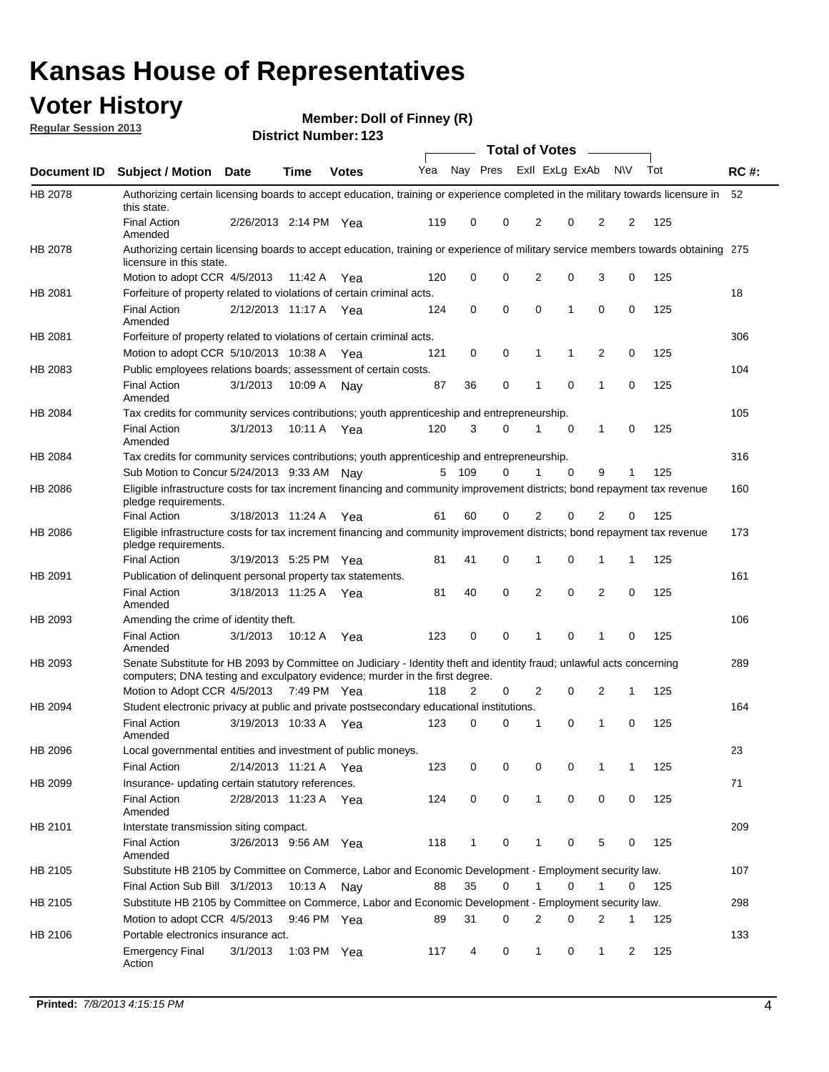### **Voter History**

**Member: Doll of Finney (R)** 

**Regular Session 2013**

|             |                                                                                                                                                                                                       |          |                       |              |     |       | <b>Total of Votes</b>   |                |             | $\overline{\phantom{a}}$ |                |     |             |
|-------------|-------------------------------------------------------------------------------------------------------------------------------------------------------------------------------------------------------|----------|-----------------------|--------------|-----|-------|-------------------------|----------------|-------------|--------------------------|----------------|-----|-------------|
| Document ID | <b>Subject / Motion Date</b>                                                                                                                                                                          |          | Time                  | <b>Votes</b> | Yea |       | Nay Pres ExII ExLg ExAb |                |             |                          | <b>NV</b>      | Tot | <b>RC#:</b> |
| HB 2078     | Authorizing certain licensing boards to accept education, training or experience completed in the military towards licensure in<br>this state.                                                        |          |                       |              |     |       |                         |                |             |                          |                |     | 52          |
|             | <b>Final Action</b><br>Amended                                                                                                                                                                        |          | 2/26/2013 2:14 PM Yea |              | 119 | 0     | 0                       | 2              | 0           | $\overline{2}$           | 2              | 125 |             |
| HB 2078     | Authorizing certain licensing boards to accept education, training or experience of military service members towards obtaining 275<br>licensure in this state.                                        |          |                       |              |     |       |                         |                |             |                          |                |     |             |
|             | Motion to adopt CCR 4/5/2013                                                                                                                                                                          |          | 11:42 A               | Yea          | 120 | 0     | 0                       | $\overline{2}$ | 0           | 3                        | 0              | 125 |             |
| HB 2081     | Forfeiture of property related to violations of certain criminal acts.                                                                                                                                |          |                       |              |     |       |                         |                |             |                          |                |     | 18          |
|             | <b>Final Action</b><br>Amended                                                                                                                                                                        |          | 2/12/2013 11:17 A Yea |              | 124 | 0     | $\mathbf 0$             | 0              | 1           | $\Omega$                 | 0              | 125 |             |
| HB 2081     | Forfeiture of property related to violations of certain criminal acts.                                                                                                                                |          |                       |              |     |       |                         |                |             |                          |                |     | 306         |
|             | Motion to adopt CCR 5/10/2013 10:38 A                                                                                                                                                                 |          |                       | Yea          | 121 | 0     | 0                       | 1              | 1           | 2                        | 0              | 125 |             |
| HB 2083     | Public employees relations boards; assessment of certain costs.                                                                                                                                       |          |                       |              |     |       |                         |                |             |                          |                |     | 104         |
|             | <b>Final Action</b><br>Amended                                                                                                                                                                        | 3/1/2013 | 10:09 A               | Nav          | 87  | 36    | 0                       | 1              | 0           | 1                        | 0              | 125 |             |
| HB 2084     | Tax credits for community services contributions; youth apprenticeship and entrepreneurship.                                                                                                          |          |                       |              |     |       |                         |                |             |                          |                |     | 105         |
|             | <b>Final Action</b><br>Amended                                                                                                                                                                        | 3/1/2013 | 10:11 A               | Yea          | 120 | 3     | 0                       |                | 0           | 1                        | 0              | 125 |             |
| HB 2084     | Tax credits for community services contributions; youth apprenticeship and entrepreneurship.                                                                                                          |          |                       |              |     |       |                         |                |             |                          |                |     | 316         |
|             | Sub Motion to Concur 5/24/2013 9:33 AM Nay                                                                                                                                                            |          |                       |              |     | 5 109 | 0                       | 1              | 0           | 9                        | 1              | 125 |             |
| HB 2086     | Eligible infrastructure costs for tax increment financing and community improvement districts; bond repayment tax revenue<br>pledge requirements.                                                     |          |                       |              |     |       |                         |                |             |                          |                |     | 160         |
|             | <b>Final Action</b>                                                                                                                                                                                   |          | 3/18/2013 11:24 A     | Yea          | 61  | 60    | $\Omega$                | 2              | 0           | 2                        | 0              | 125 |             |
| HB 2086     | Eligible infrastructure costs for tax increment financing and community improvement districts; bond repayment tax revenue<br>pledge requirements.                                                     |          |                       |              |     |       |                         |                |             |                          |                |     | 173         |
|             | <b>Final Action</b>                                                                                                                                                                                   |          | 3/19/2013 5:25 PM     | Yea          | 81  | 41    | 0                       | 1              | 0           | 1                        | 1              | 125 |             |
| HB 2091     | Publication of delinquent personal property tax statements.                                                                                                                                           |          |                       |              |     |       |                         |                |             |                          |                |     | 161         |
|             | <b>Final Action</b><br>Amended                                                                                                                                                                        |          | 3/18/2013 11:25 A     | Yea          | 81  | 40    | 0                       | 2              | 0           | $\overline{2}$           | 0              | 125 |             |
| HB 2093     | Amending the crime of identity theft.                                                                                                                                                                 |          |                       |              |     |       |                         |                |             |                          |                |     | 106         |
|             | <b>Final Action</b><br>Amended                                                                                                                                                                        | 3/1/2013 | 10:12 A               | Yea          | 123 | 0     | 0                       | 1              | $\Omega$    | 1                        | 0              | 125 |             |
| HB 2093     | Senate Substitute for HB 2093 by Committee on Judiciary - Identity theft and identity fraud; unlawful acts concerning<br>computers; DNA testing and exculpatory evidence; murder in the first degree. |          |                       |              |     |       |                         |                |             |                          |                |     | 289         |
|             | Motion to Adopt CCR 4/5/2013 7:49 PM Yea                                                                                                                                                              |          |                       |              | 118 | 2     | 0                       | 2              | 0           | 2                        | 1              | 125 |             |
| HB 2094     | Student electronic privacy at public and private postsecondary educational institutions.                                                                                                              |          |                       |              |     |       |                         |                |             |                          |                |     | 164         |
|             | <b>Final Action</b><br>Amended                                                                                                                                                                        |          | 3/19/2013 10:33 A     | Yea          | 123 | 0     | 0                       | 1              | 0           | 1                        | 0              | 125 |             |
| HB 2096     | Local governmental entities and investment of public moneys.                                                                                                                                          |          |                       |              |     |       |                         |                |             |                          |                |     | 23          |
|             | <b>Final Action</b>                                                                                                                                                                                   |          | 2/14/2013 11:21 A     | Yea          | 123 | 0     | 0                       | 0              | 0           | 1                        | 1              | 125 |             |
| HB 2099     | Insurance- updating certain statutory references.                                                                                                                                                     |          |                       |              |     |       |                         |                |             |                          |                |     | 71          |
|             | <b>Final Action</b><br>Amended                                                                                                                                                                        |          | 2/28/2013 11:23 A Yea |              | 124 | 0     | 0                       | $\mathbf{1}$   | 0           | 0                        | 0              | 125 |             |
| HB 2101     | Interstate transmission siting compact.                                                                                                                                                               |          |                       |              |     |       |                         |                |             |                          |                |     | 209         |
|             | <b>Final Action</b><br>Amended                                                                                                                                                                        |          | 3/26/2013 9:56 AM Yea |              | 118 | 1     | 0                       |                | 0           | 5                        | 0              | 125 |             |
| HB 2105     | Substitute HB 2105 by Committee on Commerce, Labor and Economic Development - Employment security law.                                                                                                |          |                       |              |     |       |                         |                |             |                          |                |     | 107         |
|             | Final Action Sub Bill 3/1/2013 10:13 A Nay                                                                                                                                                            |          |                       |              | 88  | 35    | 0                       |                | $\Omega$    | 1                        | 0              | 125 |             |
| HB 2105     | Substitute HB 2105 by Committee on Commerce, Labor and Economic Development - Employment security law.                                                                                                |          |                       |              |     |       |                         |                |             |                          |                |     | 298         |
|             | Motion to adopt CCR 4/5/2013 9:46 PM Yea                                                                                                                                                              |          |                       |              | 89  | 31    | 0                       | 2              | 0           | 2                        | 1              | 125 |             |
| HB 2106     | Portable electronics insurance act.                                                                                                                                                                   |          |                       |              |     |       |                         |                |             |                          |                |     | 133         |
|             | <b>Emergency Final</b><br>Action                                                                                                                                                                      | 3/1/2013 | 1:03 PM Yea           |              | 117 | 4     | 0                       | $\mathbf{1}$   | $\mathbf 0$ | $\mathbf{1}$             | $\overline{2}$ | 125 |             |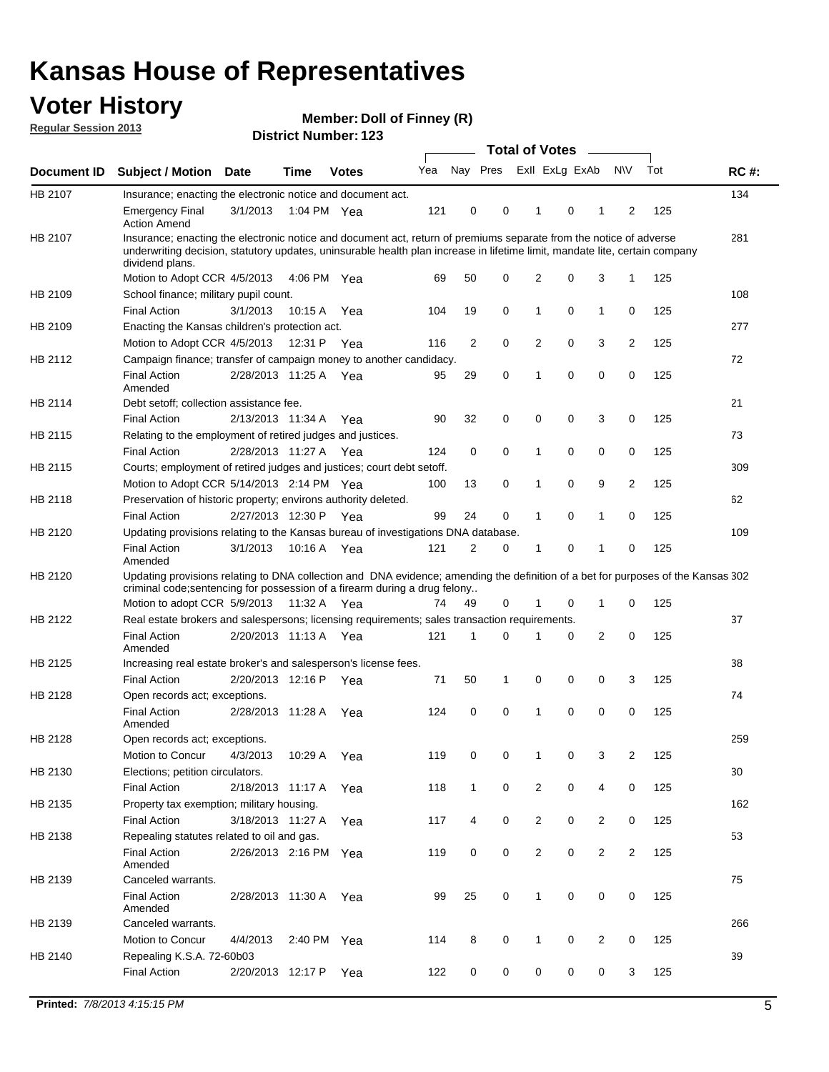### **Voter History**

**Regular Session 2013**

**Member: Doll of Finney (R)** 

|             |                                                                                                                                                                                                                                                                      |                       |             |              |     |          |          |                | <b>Total of Votes</b> |                |                         |     |             |
|-------------|----------------------------------------------------------------------------------------------------------------------------------------------------------------------------------------------------------------------------------------------------------------------|-----------------------|-------------|--------------|-----|----------|----------|----------------|-----------------------|----------------|-------------------------|-----|-------------|
| Document ID | <b>Subject / Motion</b>                                                                                                                                                                                                                                              | <b>Date</b>           | Time        | <b>Votes</b> | Yea | Nay Pres |          |                | Exll ExLg ExAb        |                | <b>NV</b>               | Tot | <b>RC#:</b> |
| HB 2107     | Insurance; enacting the electronic notice and document act.                                                                                                                                                                                                          |                       |             |              |     |          |          |                |                       |                |                         |     | 134         |
|             | <b>Emergency Final</b><br><b>Action Amend</b>                                                                                                                                                                                                                        | 3/1/2013              | 1:04 PM Yea |              | 121 | 0        | 0        | 1              | 0                     | 1              | 2                       | 125 |             |
| HB 2107     | Insurance; enacting the electronic notice and document act, return of premiums separate from the notice of adverse<br>underwriting decision, statutory updates, uninsurable health plan increase in lifetime limit, mandate lite, certain company<br>dividend plans. |                       |             |              |     |          |          |                |                       |                |                         |     | 281         |
|             | Motion to Adopt CCR 4/5/2013 4:06 PM Yea                                                                                                                                                                                                                             |                       |             |              | 69  | 50       | 0        | 2              | 0                     | 3              | 1                       | 125 |             |
| HB 2109     | School finance; military pupil count.                                                                                                                                                                                                                                |                       |             |              |     |          |          |                |                       |                |                         |     | 108         |
|             | <b>Final Action</b>                                                                                                                                                                                                                                                  | 3/1/2013              | 10:15 A     | Yea          | 104 | 19       | 0        | 1              | 0                     | $\mathbf{1}$   | $\mathbf 0$             | 125 |             |
| HB 2109     | Enacting the Kansas children's protection act.                                                                                                                                                                                                                       |                       |             |              |     |          |          |                |                       |                |                         |     | 277         |
|             | Motion to Adopt CCR 4/5/2013                                                                                                                                                                                                                                         |                       | 12:31 P     | Yea          | 116 | 2        | 0        | 2              | 0                     | 3              | $\overline{\mathbf{c}}$ | 125 |             |
| HB 2112     | Campaign finance; transfer of campaign money to another candidacy.                                                                                                                                                                                                   |                       |             |              |     |          |          |                |                       |                |                         |     | 72          |
|             | <b>Final Action</b><br>Amended                                                                                                                                                                                                                                       | 2/28/2013 11:25 A     |             | Yea          | 95  | 29       | 0        | 1              | 0                     | 0              | 0                       | 125 |             |
| HB 2114     | Debt setoff; collection assistance fee.                                                                                                                                                                                                                              |                       |             |              |     |          |          |                |                       |                |                         |     | 21          |
|             | <b>Final Action</b>                                                                                                                                                                                                                                                  | 2/13/2013 11:34 A     |             | Yea          | 90  | 32       | 0        | 0              | 0                     | 3              | 0                       | 125 |             |
| HB 2115     | Relating to the employment of retired judges and justices.                                                                                                                                                                                                           |                       |             |              |     |          |          |                |                       |                |                         |     | 73          |
|             | <b>Final Action</b>                                                                                                                                                                                                                                                  | 2/28/2013 11:27 A Yea |             |              | 124 | 0        | 0        | 1              | 0                     | 0              | 0                       | 125 |             |
| HB 2115     | Courts; employment of retired judges and justices; court debt setoff.                                                                                                                                                                                                |                       |             |              |     |          |          |                |                       |                |                         |     | 309         |
|             | Motion to Adopt CCR 5/14/2013 2:14 PM Yea                                                                                                                                                                                                                            |                       |             |              | 100 | 13       | 0        | 1              | 0                     | 9              | 2                       | 125 |             |
| HB 2118     | Preservation of historic property; environs authority deleted.                                                                                                                                                                                                       |                       |             |              |     |          |          |                |                       |                |                         |     | 62          |
|             | <b>Final Action</b>                                                                                                                                                                                                                                                  | 2/27/2013 12:30 P     |             | Yea          | 99  | 24       | 0        | $\mathbf{1}$   | 0                     | 1              | 0                       | 125 |             |
| HB 2120     | Updating provisions relating to the Kansas bureau of investigations DNA database.                                                                                                                                                                                    |                       |             |              |     |          |          |                |                       |                |                         |     | 109         |
|             | <b>Final Action</b><br>Amended                                                                                                                                                                                                                                       | 3/1/2013              | 10:16 A     | Yea          | 121 | 2        | 0        | 1              | 0                     | 1              | 0                       | 125 |             |
| HB 2120     | Updating provisions relating to DNA collection and DNA evidence; amending the definition of a bet for purposes of the Kansas 302                                                                                                                                     |                       |             |              |     |          |          |                |                       |                |                         |     |             |
|             | criminal code; sentencing for possession of a firearm during a drug felony                                                                                                                                                                                           |                       |             |              |     |          |          |                |                       |                |                         |     |             |
|             | Motion to adopt CCR 5/9/2013                                                                                                                                                                                                                                         |                       | 11:32 A     | Yea          | 74  | 49       | 0        | 1              | 0                     | 1              | 0                       | 125 |             |
| HB 2122     | Real estate brokers and salespersons; licensing requirements; sales transaction requirements.                                                                                                                                                                        |                       |             |              |     |          |          |                |                       |                |                         |     | 37          |
|             | <b>Final Action</b><br>Amended                                                                                                                                                                                                                                       | 2/20/2013 11:13 A     |             | Yea          | 121 | 1        | $\Omega$ | 1              | 0                     | 2              | 0                       | 125 |             |
| HB 2125     | Increasing real estate broker's and salesperson's license fees.                                                                                                                                                                                                      |                       |             |              |     |          |          |                |                       |                |                         |     | 38          |
|             | <b>Final Action</b>                                                                                                                                                                                                                                                  | 2/20/2013 12:16 P     |             | Yea          | 71  | 50       | 1        | 0              | 0                     | 0              | 3                       | 125 |             |
| HB 2128     | Open records act; exceptions.                                                                                                                                                                                                                                        |                       |             |              |     |          |          |                |                       |                |                         |     | 74          |
|             | <b>Final Action</b><br>Amended                                                                                                                                                                                                                                       | 2/28/2013 11:28 A     |             | Yea          | 124 | 0        | 0        | 1              | 0                     | 0              | 0                       | 125 |             |
| HB 2128     | Open records act; exceptions.                                                                                                                                                                                                                                        |                       |             |              |     |          |          |                |                       |                |                         |     | 259         |
|             | Motion to Concur                                                                                                                                                                                                                                                     | 4/3/2013              | 10:29 A     | Yea          | 119 | 0        | 0        | 1              | 0                     | 3              | 2                       | 125 |             |
| HB 2130     | Elections; petition circulators.                                                                                                                                                                                                                                     |                       |             |              |     |          |          |                |                       |                |                         |     | 30          |
|             | <b>Final Action</b>                                                                                                                                                                                                                                                  | 2/18/2013 11:17 A     |             | Yea          | 118 | 1        | 0        | $\overline{2}$ | 0                     | 4              | 0                       | 125 |             |
| HB 2135     | Property tax exemption; military housing.                                                                                                                                                                                                                            |                       |             |              |     |          |          |                |                       |                |                         |     | 162         |
|             | <b>Final Action</b>                                                                                                                                                                                                                                                  | 3/18/2013 11:27 A     |             | Yea          | 117 | 4        | 0        | $\overline{2}$ | 0                     | $\overline{c}$ | 0                       | 125 |             |
| HB 2138     | Repealing statutes related to oil and gas.                                                                                                                                                                                                                           |                       |             |              |     |          |          |                |                       |                |                         |     | 53          |
|             | <b>Final Action</b><br>Amended                                                                                                                                                                                                                                       | 2/26/2013 2:16 PM Yea |             |              | 119 | 0        | 0        | $\overline{2}$ | 0                     | 2              | 2                       | 125 |             |
| HB 2139     | Canceled warrants.                                                                                                                                                                                                                                                   |                       |             |              |     |          |          |                |                       |                |                         |     | 75          |
|             | <b>Final Action</b><br>Amended                                                                                                                                                                                                                                       | 2/28/2013 11:30 A     |             | Yea          | 99  | 25       | 0        | 1              | 0                     | 0              | 0                       | 125 |             |
| HB 2139     | Canceled warrants.                                                                                                                                                                                                                                                   |                       |             |              |     |          |          |                |                       |                |                         |     | 266         |
|             | Motion to Concur                                                                                                                                                                                                                                                     | 4/4/2013              | 2:40 PM Yea |              | 114 | 8        | 0        | $\mathbf{1}$   | $\mathbf 0$           | $\overline{c}$ | 0                       | 125 |             |
| HB 2140     | Repealing K.S.A. 72-60b03                                                                                                                                                                                                                                            |                       |             |              |     |          |          |                |                       |                |                         |     | 39          |
|             | <b>Final Action</b>                                                                                                                                                                                                                                                  | 2/20/2013 12:17 P     |             | Yea          | 122 | 0        | 0        | 0              | 0                     | 0              | 3                       | 125 |             |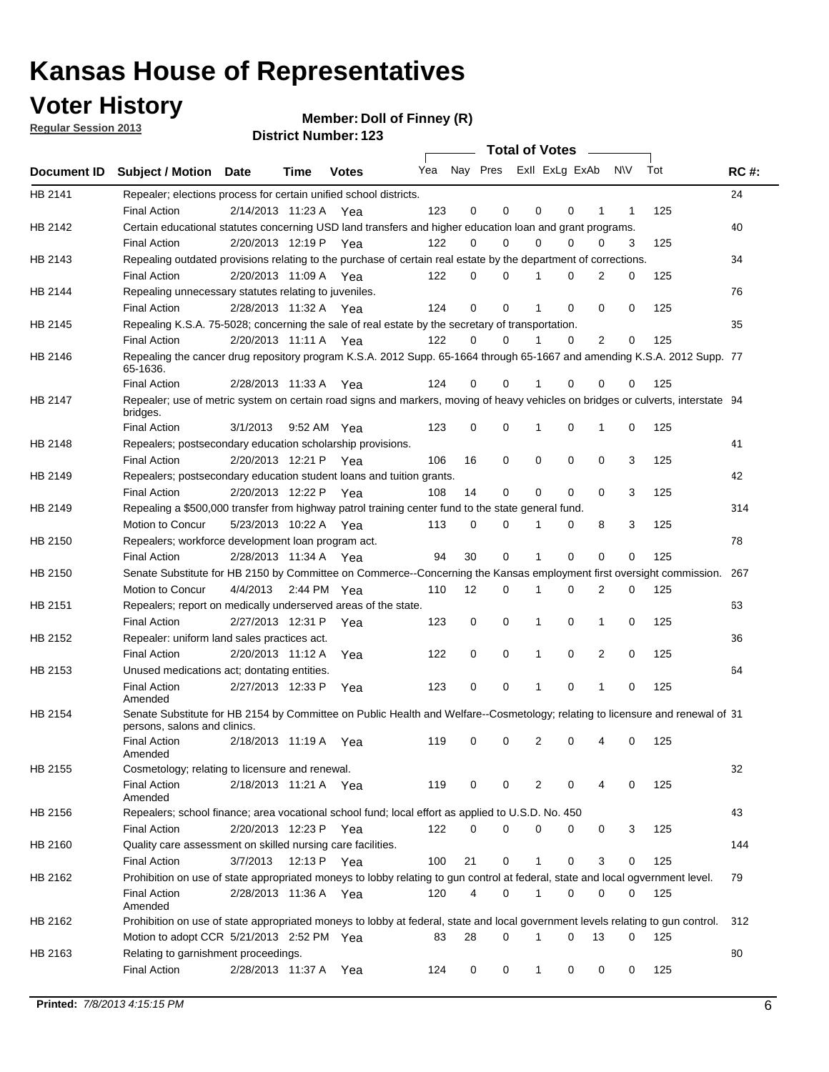**Voter History** 

**Member: Doll of Finney (R)** 

**Regular Session 2013**

|                |                                                                                                                                              |          |                       |              |                             |    | <b>Total of Votes</b> |              |          | $\sim$   |     |     |             |
|----------------|----------------------------------------------------------------------------------------------------------------------------------------------|----------|-----------------------|--------------|-----------------------------|----|-----------------------|--------------|----------|----------|-----|-----|-------------|
|                | Document ID Subject / Motion Date                                                                                                            |          | Time                  | <b>Votes</b> | Yea Nay Pres ExII ExLg ExAb |    |                       |              |          |          | N\V | Tot | <b>RC#:</b> |
| HB 2141        | Repealer; elections process for certain unified school districts.                                                                            |          |                       |              |                             |    |                       |              |          |          |     |     | 24          |
|                | <b>Final Action</b>                                                                                                                          |          | 2/14/2013 11:23 A     | Yea          | 123                         | 0  | 0                     | 0            | 0        | 1        | 1   | 125 |             |
| HB 2142        | Certain educational statutes concerning USD land transfers and higher education loan and grant programs.                                     |          |                       |              |                             |    |                       |              |          |          |     |     | 40          |
|                | <b>Final Action</b>                                                                                                                          |          | 2/20/2013 12:19 P     | Yea          | 122                         | 0  | 0                     | 0            | 0        | 0        | 3   | 125 |             |
| HB 2143        | Repealing outdated provisions relating to the purchase of certain real estate by the department of corrections.                              |          |                       |              |                             |    |                       |              |          |          |     |     | 34          |
|                | <b>Final Action</b>                                                                                                                          |          | 2/20/2013 11:09 A Yea |              | 122                         | 0  | 0                     |              | 0        | 2        | 0   | 125 |             |
| HB 2144        | Repealing unnecessary statutes relating to juveniles.                                                                                        |          |                       |              |                             |    |                       |              |          |          |     |     | 76          |
|                | <b>Final Action</b>                                                                                                                          |          | 2/28/2013 11:32 A Yea |              | 124                         | 0  | 0                     |              | 0        | 0        | 0   | 125 |             |
| <b>HB 2145</b> | Repealing K.S.A. 75-5028; concerning the sale of real estate by the secretary of transportation.                                             |          |                       |              |                             |    |                       |              |          |          |     |     | 35          |
|                | <b>Final Action</b>                                                                                                                          |          | 2/20/2013 11:11 A Yea |              | 122                         | 0  | 0                     |              | 0        | 2        | 0   | 125 |             |
| HB 2146        | Repealing the cancer drug repository program K.S.A. 2012 Supp. 65-1664 through 65-1667 and amending K.S.A. 2012 Supp. 77<br>65-1636.         |          |                       |              |                             |    |                       |              |          |          |     |     |             |
|                | <b>Final Action</b>                                                                                                                          |          | 2/28/2013 11:33 A     | Yea          | 124                         | 0  | 0                     |              | 0        | 0        | 0   | 125 |             |
| HB 2147        | Repealer; use of metric system on certain road signs and markers, moving of heavy vehicles on bridges or culverts, interstate 94<br>bridges. |          |                       |              |                             |    |                       |              |          |          |     |     |             |
|                | <b>Final Action</b>                                                                                                                          | 3/1/2013 |                       | 9:52 AM Yea  | 123                         | 0  | 0                     | 1            | 0        | 1        | 0   | 125 |             |
| HB 2148        | Repealers; postsecondary education scholarship provisions.                                                                                   |          |                       |              |                             |    |                       |              |          |          |     |     | 41          |
|                | <b>Final Action</b>                                                                                                                          |          | 2/20/2013 12:21 P     | Yea          | 106                         | 16 | 0                     | 0            | 0        | 0        | 3   | 125 |             |
| HB 2149        | Repealers; postsecondary education student loans and tuition grants.                                                                         |          |                       |              |                             |    |                       |              |          |          |     |     | 42          |
|                | <b>Final Action</b>                                                                                                                          |          | 2/20/2013 12:22 P     | Yea          | 108                         | 14 | 0                     | 0            | $\Omega$ | $\Omega$ | 3   | 125 |             |
| HB 2149        | Repealing a \$500,000 transfer from highway patrol training center fund to the state general fund.                                           |          |                       |              |                             |    |                       |              |          |          |     |     | 314         |
|                | Motion to Concur                                                                                                                             |          | 5/23/2013 10:22 A Yea |              | 113                         | 0  | 0                     |              | 0        | 8        | 3   | 125 |             |
| HB 2150        | Repealers; workforce development loan program act.                                                                                           |          |                       |              |                             |    |                       |              |          |          |     |     | 78          |
|                | <b>Final Action</b>                                                                                                                          |          | 2/28/2013 11:34 A Yea |              | 94                          | 30 | 0                     | 1            | 0        | 0        | 0   | 125 |             |
| HB 2150        | Senate Substitute for HB 2150 by Committee on Commerce--Concerning the Kansas employment first oversight commission.                         |          |                       |              |                             |    |                       |              |          |          |     |     | 267         |
|                | Motion to Concur                                                                                                                             | 4/4/2013 |                       | 2:44 PM Yea  | 110                         | 12 | 0                     | 1            | 0        | 2        | 0   | 125 |             |
| HB 2151        | Repealers; report on medically underserved areas of the state.                                                                               |          |                       |              |                             |    |                       |              |          |          |     |     | 63          |
|                | <b>Final Action</b>                                                                                                                          |          | 2/27/2013 12:31 P     | Yea          | 123                         | 0  | 0                     | 1            | 0        | 1        | 0   | 125 |             |
| HB 2152        | Repealer: uniform land sales practices act.                                                                                                  |          |                       |              |                             |    |                       |              |          |          |     |     | 36          |
|                | <b>Final Action</b>                                                                                                                          |          | 2/20/2013 11:12 A     | Yea          | 122                         | 0  | 0                     | 1            | 0        | 2        | 0   | 125 |             |
| HB 2153        | Unused medications act; dontating entities.                                                                                                  |          |                       |              |                             |    |                       |              |          |          |     |     | 64          |
|                | <b>Final Action</b><br>Amended                                                                                                               |          | 2/27/2013 12:33 P     | Yea          | 123                         | 0  | 0                     |              | 0        | 1        | 0   | 125 |             |
| HB 2154        | Senate Substitute for HB 2154 by Committee on Public Health and Welfare--Cosmetology; relating to licensure and renewal of 31                |          |                       |              |                             |    |                       |              |          |          |     |     |             |
|                | persons, salons and clinics.                                                                                                                 |          |                       |              |                             |    |                       |              |          |          |     |     |             |
|                | <b>Final Action</b><br>Amended                                                                                                               |          | 2/18/2013 11:19 A     | Yea          | 119                         | 0  | 0                     | 2            | 0        |          | 0   | 125 |             |
| HB 2155        | Cosmetology; relating to licensure and renewal.                                                                                              |          |                       |              |                             |    |                       |              |          |          |     |     | 32          |
|                | <b>Final Action</b><br>Amended                                                                                                               |          | 2/18/2013 11:21 A Yea |              | 119                         | 0  | 0                     | 2            | 0        | 4        | 0   | 125 |             |
| HB 2156        | Repealers; school finance; area vocational school fund; local effort as applied to U.S.D. No. 450                                            |          |                       |              |                             |    |                       |              |          |          |     |     | 43          |
|                | <b>Final Action</b>                                                                                                                          |          | 2/20/2013 12:23 P     | Yea          | 122                         | 0  | 0                     | 0            | 0        | 0        | 3   | 125 |             |
| HB 2160        | Quality care assessment on skilled nursing care facilities.                                                                                  |          |                       |              |                             |    |                       |              |          |          |     |     | 144         |
|                | <b>Final Action</b>                                                                                                                          | 3/7/2013 | 12:13 P               | Yea          | 100                         | 21 | 0                     | $\mathbf{1}$ | 0        | 3        | 0   | 125 |             |
| HB 2162        | Prohibition on use of state appropriated moneys to lobby relating to gun control at federal, state and local ogvernment level.               |          |                       |              |                             |    |                       |              |          |          |     |     | 79          |
|                | <b>Final Action</b><br>Amended                                                                                                               |          | 2/28/2013 11:36 A Yea |              | 120                         | 4  | 0                     | 1            | 0        | 0        | 0   | 125 |             |
| HB 2162        | Prohibition on use of state appropriated moneys to lobby at federal, state and local government levels relating to gun control.              |          |                       |              |                             |    |                       |              |          |          |     |     | 312         |
|                | Motion to adopt CCR 5/21/2013 2:52 PM Yea                                                                                                    |          |                       |              | 83                          | 28 | 0                     | 1            | $\Omega$ | 13       | 0   | 125 |             |
| HB 2163        | Relating to garnishment proceedings.                                                                                                         |          |                       |              |                             |    |                       |              |          |          |     |     | 80          |
|                | <b>Final Action</b>                                                                                                                          |          | 2/28/2013 11:37 A Yea |              | 124                         | 0  | 0                     | $\mathbf{1}$ | 0        | 0        | 0   | 125 |             |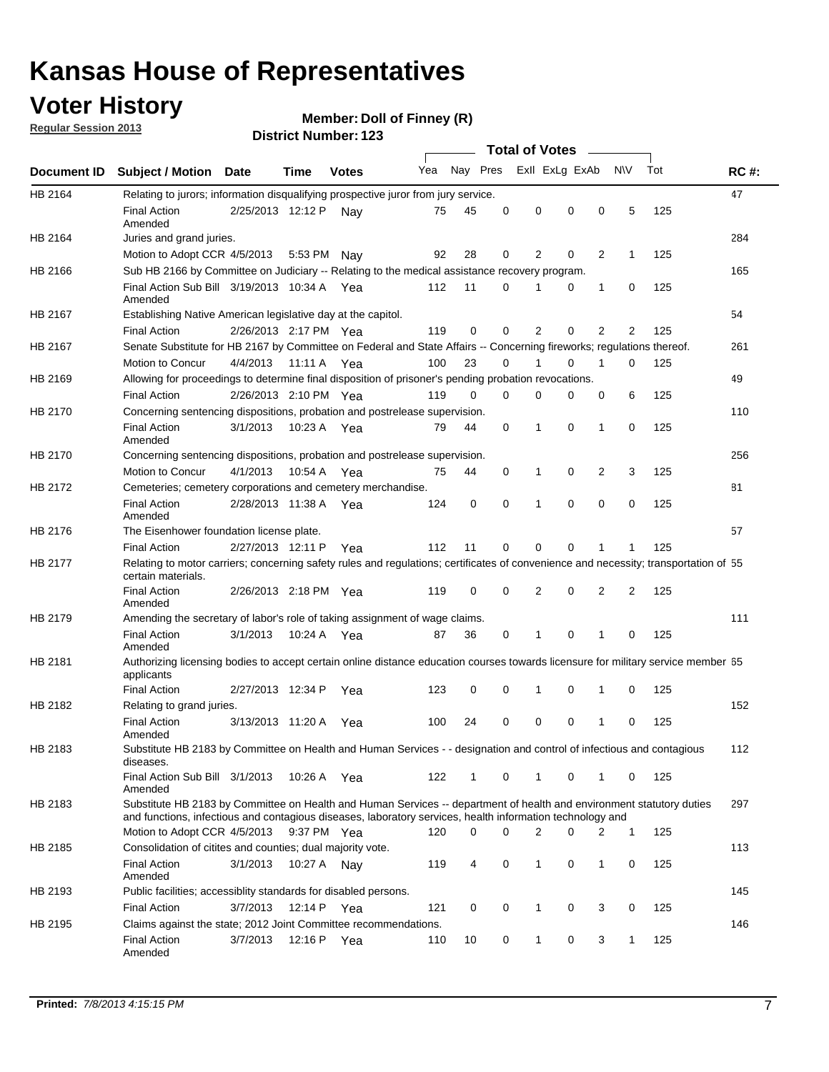### **Voter History**

**Member: Doll of Finney (R)** 

**Regular Session 2013**

|             |                                                                                                                                                                                                                                    |                       |             |              |     |                         |          | <b>Total of Votes</b> |          | $\sim$         |            |     |             |
|-------------|------------------------------------------------------------------------------------------------------------------------------------------------------------------------------------------------------------------------------------|-----------------------|-------------|--------------|-----|-------------------------|----------|-----------------------|----------|----------------|------------|-----|-------------|
| Document ID | <b>Subject / Motion Date</b>                                                                                                                                                                                                       |                       | Time        | <b>Votes</b> | Yea | Nay Pres Exll ExLg ExAb |          |                       |          |                | <b>NIV</b> | Tot | <b>RC#:</b> |
| HB 2164     | Relating to jurors; information disqualifying prospective juror from jury service.                                                                                                                                                 |                       |             |              |     |                         |          |                       |          |                |            |     | 47          |
|             | <b>Final Action</b>                                                                                                                                                                                                                | 2/25/2013 12:12 P Nay |             |              | 75  | 45                      | 0        | 0                     | 0        | 0              | 5          | 125 |             |
| HB 2164     | Amended<br>Juries and grand juries.                                                                                                                                                                                                |                       |             |              |     |                         |          |                       |          |                |            |     | 284         |
|             | Motion to Adopt CCR 4/5/2013                                                                                                                                                                                                       |                       | 5:53 PM     | Nay          | 92  | 28                      | 0        | 2                     | 0        | $\overline{2}$ | 1          | 125 |             |
| HB 2166     | Sub HB 2166 by Committee on Judiciary -- Relating to the medical assistance recovery program.                                                                                                                                      |                       |             |              |     |                         |          |                       |          |                |            |     | 165         |
|             | Final Action Sub Bill 3/19/2013 10:34 A Yea                                                                                                                                                                                        |                       |             |              | 112 | 11                      | 0        | 1                     | 0        | 1              | 0          | 125 |             |
|             | Amended                                                                                                                                                                                                                            |                       |             |              |     |                         |          |                       |          |                |            |     |             |
| HB 2167     | Establishing Native American legislative day at the capitol.                                                                                                                                                                       |                       |             |              |     |                         |          |                       |          |                |            |     | 54          |
|             | <b>Final Action</b>                                                                                                                                                                                                                | 2/26/2013 2:17 PM Yea |             |              | 119 | 0                       | 0        | 2                     | 0        | 2              | 2          | 125 |             |
| HB 2167     | Senate Substitute for HB 2167 by Committee on Federal and State Affairs -- Concerning fireworks; regulations thereof.                                                                                                              |                       |             |              |     |                         |          |                       |          |                |            |     | 261         |
|             | <b>Motion to Concur</b>                                                                                                                                                                                                            | 4/4/2013              | 11:11 A     | Yea          | 100 | 23                      | 0        | 1                     | 0        | 1              | 0          | 125 |             |
| HB 2169     | Allowing for proceedings to determine final disposition of prisoner's pending probation revocations.                                                                                                                               |                       |             |              |     |                         |          |                       |          |                |            |     | 49          |
|             | <b>Final Action</b>                                                                                                                                                                                                                | 2/26/2013 2:10 PM Yea |             |              | 119 | 0                       | 0        | 0                     | 0        | 0              | 6          | 125 |             |
| HB 2170     | Concerning sentencing dispositions, probation and postrelease supervision.                                                                                                                                                         |                       |             |              |     |                         |          |                       |          |                |            |     | 110         |
|             | <b>Final Action</b><br>Amended                                                                                                                                                                                                     | 3/1/2013              | 10:23 A     | Yea          | 79  | 44                      | 0        | 1                     | 0        | 1              | 0          | 125 |             |
| HB 2170     | Concerning sentencing dispositions, probation and postrelease supervision.                                                                                                                                                         |                       |             |              |     |                         |          |                       |          |                |            |     | 256         |
|             | Motion to Concur                                                                                                                                                                                                                   | 4/1/2013              | 10:54 A Yea |              | 75  | 44                      | 0        | 1                     | 0        | $\overline{2}$ | 3          | 125 |             |
| HB 2172     | Cemeteries; cemetery corporations and cemetery merchandise.                                                                                                                                                                        |                       |             |              |     |                         |          |                       |          |                |            |     | 81          |
|             | <b>Final Action</b><br>Amended                                                                                                                                                                                                     | 2/28/2013 11:38 A Yea |             |              | 124 | 0                       | $\Omega$ | 1                     | $\Omega$ | $\Omega$       | 0          | 125 |             |
| HB 2176     | The Eisenhower foundation license plate.                                                                                                                                                                                           |                       |             |              |     |                         |          |                       |          |                |            |     | 57          |
|             | <b>Final Action</b>                                                                                                                                                                                                                | 2/27/2013 12:11 P     |             | Yea          | 112 | 11                      | 0        | 0                     | 0        | 1              | 1          | 125 |             |
| HB 2177     | Relating to motor carriers; concerning safety rules and regulations; certificates of convenience and necessity; transportation of 55<br>certain materials.                                                                         |                       |             |              |     |                         |          |                       |          |                |            |     |             |
|             | <b>Final Action</b><br>Amended                                                                                                                                                                                                     | 2/26/2013 2:18 PM Yea |             |              | 119 | 0                       | 0        | 2                     | 0        | 2              | 2          | 125 |             |
| HB 2179     | Amending the secretary of labor's role of taking assignment of wage claims.                                                                                                                                                        |                       |             |              |     |                         |          |                       |          |                |            |     | 111         |
|             | <b>Final Action</b><br>Amended                                                                                                                                                                                                     | 3/1/2013              | 10:24 A Yea |              | 87  | 36                      | 0        | 1                     | 0        | 1              | 0          | 125 |             |
| HB 2181     | Authorizing licensing bodies to accept certain online distance education courses towards licensure for military service member 55<br>applicants                                                                                    |                       |             |              |     |                         |          |                       |          |                |            |     |             |
|             | <b>Final Action</b>                                                                                                                                                                                                                | 2/27/2013 12:34 P     |             | Yea          | 123 | 0                       | 0        | 1                     | 0        | 1              | 0          | 125 |             |
| HB 2182     | Relating to grand juries.                                                                                                                                                                                                          |                       |             |              |     |                         |          |                       |          |                |            |     | 152         |
|             | <b>Final Action</b><br>Amended                                                                                                                                                                                                     | 3/13/2013 11:20 A     |             | Yea          | 100 | 24                      | 0        | 0                     | 0        | 1              | 0          | 125 |             |
| HB 2183     | Substitute HB 2183 by Committee on Health and Human Services - - designation and control of infectious and contagious<br>diseases.                                                                                                 |                       |             |              |     |                         |          |                       |          |                |            |     | 112         |
|             | Final Action Sub Bill 3/1/2013<br>Amended                                                                                                                                                                                          |                       | 10:26 A Yea |              | 122 | $\mathbf{1}$            | 0        | $\mathbf{1}$          | 0        | $\mathbf{1}$   | 0          | 125 |             |
| HB 2183     | Substitute HB 2183 by Committee on Health and Human Services -- department of health and environment statutory duties<br>and functions, infectious and contagious diseases, laboratory services, health information technology and |                       |             |              |     |                         |          |                       |          |                |            |     | 297         |
|             | Motion to Adopt CCR 4/5/2013                                                                                                                                                                                                       |                       | 9:37 PM Yea |              | 120 | 0                       | 0        | 2                     | 0        | 2              | 1          | 125 |             |
| HB 2185     | Consolidation of citites and counties; dual majority vote.                                                                                                                                                                         |                       |             |              |     |                         |          |                       |          |                |            |     | 113         |
|             | <b>Final Action</b><br>Amended                                                                                                                                                                                                     | 3/1/2013              | 10:27 A     | Nav          | 119 | 4                       | 0        | $\mathbf{1}$          | 0        | $\mathbf{1}$   | 0          | 125 |             |
| HB 2193     | Public facilities; accessiblity standards for disabled persons.                                                                                                                                                                    |                       |             |              |     |                         |          |                       |          |                |            |     | 145         |
|             | Final Action                                                                                                                                                                                                                       | 3/7/2013              | 12:14 P     | Yea          | 121 | 0                       | 0        | 1                     | 0        | 3              | 0          | 125 |             |
| HB 2195     | Claims against the state; 2012 Joint Committee recommendations.                                                                                                                                                                    |                       |             |              |     |                         |          |                       |          |                |            |     | 146         |
|             | <b>Final Action</b><br>Amended                                                                                                                                                                                                     | 3/7/2013              | 12:16 P Yea |              | 110 | 10                      | 0        | 1                     | 0        | 3              | 1          | 125 |             |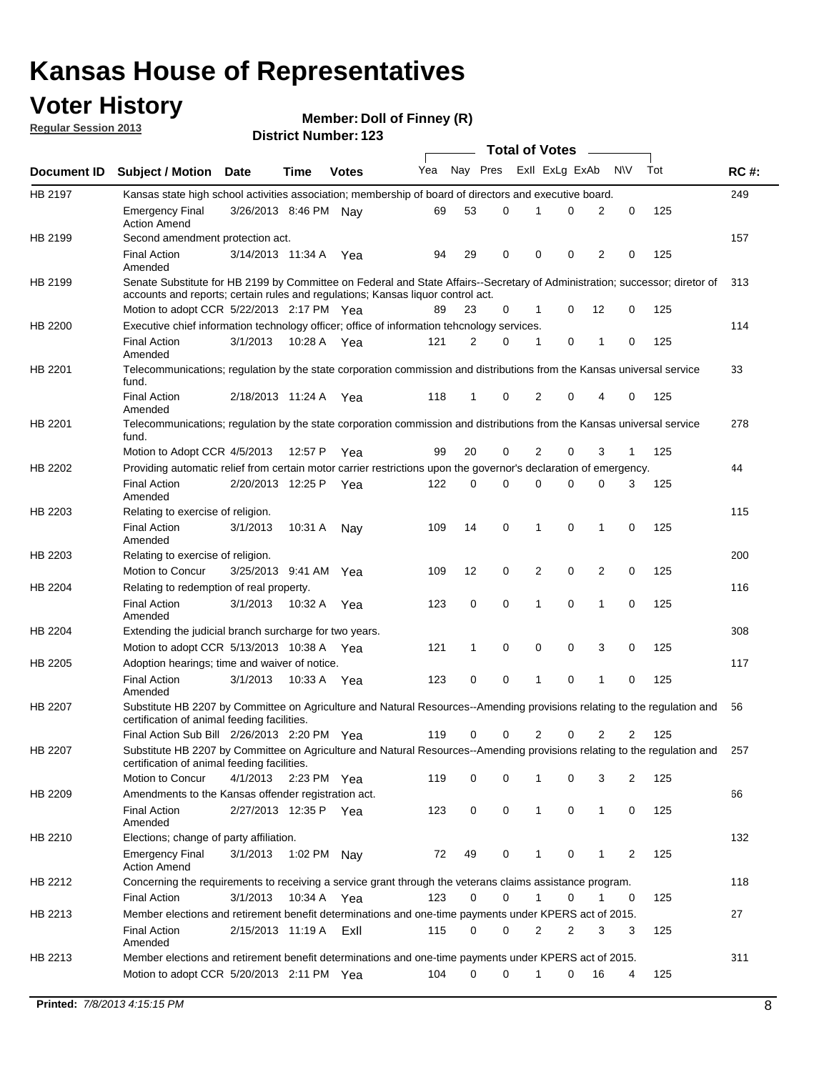### **Voter History**

**Member: Doll of Finney (R)** 

**Regular Session 2013**

|                |                                                                                                                                                                                                                |                       |               |              |     |             |   | <b>Total of Votes</b>   |   | $\sim$         |                |     |     |
|----------------|----------------------------------------------------------------------------------------------------------------------------------------------------------------------------------------------------------------|-----------------------|---------------|--------------|-----|-------------|---|-------------------------|---|----------------|----------------|-----|-----|
| Document ID    | <b>Subject / Motion Date</b>                                                                                                                                                                                   |                       | Time          | <b>Votes</b> | Yea |             |   | Nay Pres Exll ExLg ExAb |   |                | <b>NV</b>      | Tot | RC# |
| HB 2197        | Kansas state high school activities association; membership of board of directors and executive board.                                                                                                         |                       |               |              |     |             |   |                         |   |                |                |     | 249 |
|                | <b>Emergency Final</b><br><b>Action Amend</b>                                                                                                                                                                  | 3/26/2013 8:46 PM Nav |               |              | 69  | 53          | 0 | 1                       | 0 | 2              | 0              | 125 |     |
| HB 2199        | Second amendment protection act.                                                                                                                                                                               |                       |               |              |     |             |   |                         |   |                |                |     | 157 |
|                | <b>Final Action</b><br>Amended                                                                                                                                                                                 | 3/14/2013 11:34 A     |               | Yea          | 94  | 29          | 0 | 0                       | 0 | 2              | 0              | 125 |     |
| HB 2199        | Senate Substitute for HB 2199 by Committee on Federal and State Affairs--Secretary of Administration; successor; diretor of<br>accounts and reports; certain rules and regulations; Kansas liquor control act. |                       |               |              |     |             |   |                         |   |                |                |     | 313 |
|                | Motion to adopt CCR 5/22/2013 2:17 PM Yea                                                                                                                                                                      |                       |               |              | 89  | 23          | 0 | 1                       | 0 | 12             | 0              | 125 |     |
| HB 2200        | Executive chief information technology officer; office of information tehcnology services.                                                                                                                     |                       |               |              |     |             |   |                         |   |                |                |     | 114 |
|                | <b>Final Action</b><br>Amended                                                                                                                                                                                 | 3/1/2013              | 10:28 A Yea   |              | 121 | 2           | 0 | 1                       | 0 | 1              | 0              | 125 |     |
| HB 2201        | Telecommunications; regulation by the state corporation commission and distributions from the Kansas universal service<br>fund.                                                                                |                       |               |              |     |             |   |                         |   |                |                |     | 33  |
|                | <b>Final Action</b><br>Amended                                                                                                                                                                                 | 2/18/2013 11:24 A     |               | Yea          | 118 | 1           | 0 | 2                       | 0 | 4              | 0              | 125 |     |
| HB 2201        | Telecommunications; regulation by the state corporation commission and distributions from the Kansas universal service<br>fund.                                                                                |                       |               |              |     |             |   |                         |   |                |                |     | 278 |
|                | Motion to Adopt CCR 4/5/2013                                                                                                                                                                                   |                       | 12:57 P       | Yea          | 99  | 20          | 0 | 2                       | 0 | 3              | 1              | 125 |     |
| HB 2202        | Providing automatic relief from certain motor carrier restrictions upon the governor's declaration of emergency.                                                                                               |                       |               |              |     |             |   |                         |   |                |                |     | 44  |
|                | <b>Final Action</b><br>Amended                                                                                                                                                                                 | 2/20/2013 12:25 P     |               | Yea          | 122 | 0           | 0 | $\Omega$                | 0 | 0              | 3              | 125 |     |
| HB 2203        | Relating to exercise of religion.                                                                                                                                                                              |                       |               |              |     |             |   |                         |   |                |                |     | 115 |
|                | <b>Final Action</b><br>Amended                                                                                                                                                                                 | 3/1/2013              | 10:31 A       | Nav          | 109 | 14          | 0 | 1                       | 0 | 1              | 0              | 125 |     |
| HB 2203        | Relating to exercise of religion.                                                                                                                                                                              |                       |               |              |     |             |   |                         |   |                |                |     | 200 |
|                | Motion to Concur                                                                                                                                                                                               | 3/25/2013 9:41 AM Yea |               |              | 109 | 12          | 0 | 2                       | 0 | 2              | 0              | 125 |     |
| HB 2204        | Relating to redemption of real property.                                                                                                                                                                       |                       |               |              |     |             |   |                         |   |                |                |     | 116 |
|                | <b>Final Action</b><br>Amended                                                                                                                                                                                 | 3/1/2013              | 10:32 A Yea   |              | 123 | 0           | 0 | 1                       | 0 | 1              | 0              | 125 |     |
| HB 2204        | Extending the judicial branch surcharge for two years.                                                                                                                                                         |                       |               |              |     |             |   |                         |   |                |                |     | 308 |
|                | Motion to adopt CCR 5/13/2013 10:38 A                                                                                                                                                                          |                       |               | Yea          | 121 | 1           | 0 | 0                       | 0 | 3              | 0              | 125 |     |
| HB 2205        | Adoption hearings; time and waiver of notice.                                                                                                                                                                  |                       |               |              |     |             |   |                         |   |                |                |     | 117 |
|                | <b>Final Action</b><br>Amended                                                                                                                                                                                 | 3/1/2013              | 10:33 A       | Yea          | 123 | $\mathbf 0$ | 0 | 1                       | 0 | 1              | 0              | 125 |     |
| <b>HB 2207</b> | Substitute HB 2207 by Committee on Agriculture and Natural Resources--Amending provisions relating to the regulation and<br>certification of animal feeding facilities.                                        |                       |               |              |     |             |   |                         |   |                |                |     | 56  |
|                | Final Action Sub Bill 2/26/2013 2:20 PM Yea                                                                                                                                                                    |                       |               |              | 119 | 0           | 0 | 2                       | 0 | $\overline{2}$ | 2              | 125 |     |
| HB 2207        | Substitute HB 2207 by Committee on Agriculture and Natural Resources--Amending provisions relating to the regulation and<br>certification of animal feeding facilities.                                        |                       |               |              |     |             |   |                         |   |                |                |     | 257 |
|                | Motion to Concur                                                                                                                                                                                               | 4/1/2013              | 2:23 PM $Yea$ |              | 119 | 0           | 0 |                         | 0 | 3              | 2              | 125 |     |
| HB 2209        | Amendments to the Kansas offender registration act.                                                                                                                                                            |                       |               |              |     |             |   |                         |   |                |                |     | 66  |
|                | <b>Final Action</b><br>Amended                                                                                                                                                                                 | 2/27/2013 12:35 P Yea |               |              | 123 | 0           | 0 | 1                       | 0 | $\mathbf{1}$   | 0              | 125 |     |
| HB 2210        | Elections; change of party affiliation.                                                                                                                                                                        |                       |               |              |     |             |   |                         |   |                |                |     | 132 |
|                | <b>Emergency Final</b><br><b>Action Amend</b>                                                                                                                                                                  | 3/1/2013              | 1:02 PM Nay   |              | 72  | 49          | 0 | 1                       | 0 | 1              | $\overline{2}$ | 125 |     |
| HB 2212        | Concerning the requirements to receiving a service grant through the veterans claims assistance program.                                                                                                       |                       |               |              |     |             |   |                         |   |                |                |     | 118 |
|                | <b>Final Action</b>                                                                                                                                                                                            | 3/1/2013              | 10:34 A       | Yea          | 123 | 0           | 0 | 1                       | 0 | 1              | 0              | 125 |     |
| HB 2213        | Member elections and retirement benefit determinations and one-time payments under KPERS act of 2015.                                                                                                          |                       |               |              |     |             |   |                         |   |                |                |     | 27  |
|                | <b>Final Action</b><br>Amended                                                                                                                                                                                 | 2/15/2013 11:19 A     |               | ExII         | 115 | 0           | 0 | 2                       | 2 | 3              | 3              | 125 |     |
| HB 2213        | Member elections and retirement benefit determinations and one-time payments under KPERS act of 2015.                                                                                                          |                       |               |              |     |             |   |                         |   |                |                |     | 311 |
|                | Motion to adopt CCR 5/20/2013 2:11 PM Yea                                                                                                                                                                      |                       |               |              | 104 | 0           | 0 | $\mathbf{1}$            | 0 | 16             | 4              | 125 |     |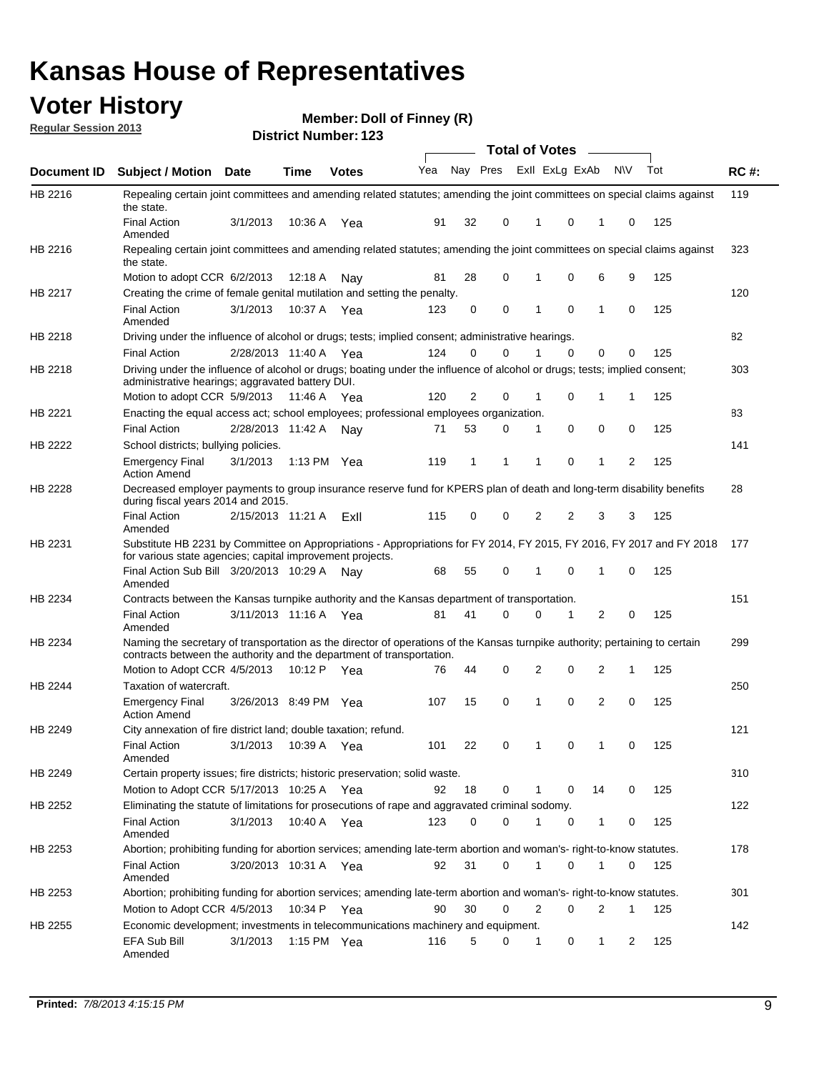### **Voter History**

**Member: Doll of Finney (R)** 

**Regular Session 2013**

|             |                                                                                                                                                                                                               |                       |               |              |     |          |          | <b>Total of Votes</b> |          | $\overline{\phantom{a}}$ |           |     |             |
|-------------|---------------------------------------------------------------------------------------------------------------------------------------------------------------------------------------------------------------|-----------------------|---------------|--------------|-----|----------|----------|-----------------------|----------|--------------------------|-----------|-----|-------------|
| Document ID | Subject / Motion Date                                                                                                                                                                                         |                       | <b>Time</b>   | <b>Votes</b> | Yea | Nay Pres |          | Exll ExLg ExAb        |          |                          | <b>NV</b> | Tot | <b>RC#:</b> |
| HB 2216     | Repealing certain joint committees and amending related statutes; amending the joint committees on special claims against<br>the state.                                                                       |                       |               |              |     |          |          |                       |          |                          |           |     | 119         |
|             | <b>Final Action</b><br>Amended                                                                                                                                                                                | 3/1/2013              | 10:36 A       | Yea          | 91  | 32       | 0        | 1                     | 0        | 1                        | 0         | 125 |             |
| HB 2216     | Repealing certain joint committees and amending related statutes; amending the joint committees on special claims against<br>the state.                                                                       |                       |               |              |     |          |          |                       |          |                          |           |     | 323         |
|             | Motion to adopt CCR 6/2/2013                                                                                                                                                                                  |                       | 12:18 A       | Nav          | 81  | 28       | 0        | 1                     | 0        | 6                        | 9         | 125 |             |
| HB 2217     | Creating the crime of female genital mutilation and setting the penalty.                                                                                                                                      |                       |               |              |     |          |          |                       |          |                          |           |     | 120         |
|             | <b>Final Action</b><br>Amended                                                                                                                                                                                | 3/1/2013              | 10:37 A Yea   |              | 123 | 0        | 0        | 1                     | 0        | 1                        | 0         | 125 |             |
| HB 2218     | Driving under the influence of alcohol or drugs; tests; implied consent; administrative hearings.                                                                                                             |                       |               |              |     |          |          |                       |          |                          |           |     | 82          |
|             | <b>Final Action</b>                                                                                                                                                                                           | 2/28/2013 11:40 A Yea |               |              | 124 | 0        | $\Omega$ |                       | $\Omega$ | 0                        | 0         | 125 |             |
| HB 2218     | Driving under the influence of alcohol or drugs; boating under the influence of alcohol or drugs; tests; implied consent;<br>administrative hearings; aggravated battery DUI.<br>Motion to adopt CCR 5/9/2013 |                       | 11:46 A Yea   |              | 120 | 2        | 0        | 1                     | 0        | 1                        | 1         | 125 | 303         |
| HB 2221     | Enacting the equal access act; school employees; professional employees organization.                                                                                                                         |                       |               |              |     |          |          |                       |          |                          |           |     | 83          |
|             | <b>Final Action</b>                                                                                                                                                                                           | 2/28/2013 11:42 A     |               |              | 71  | 53       | 0        | 1                     | 0        | 0                        | 0         | 125 |             |
|             |                                                                                                                                                                                                               |                       |               | Nay          |     |          |          |                       |          |                          |           |     | 141         |
| HB 2222     | School districts; bullying policies.<br>Emergency Final<br><b>Action Amend</b>                                                                                                                                | 3/1/2013              | 1:13 PM $Yea$ |              | 119 | 1        | 1        | 1                     | 0        | 1                        | 2         | 125 |             |
| HB 2228     | Decreased employer payments to group insurance reserve fund for KPERS plan of death and long-term disability benefits<br>during fiscal years 2014 and 2015.                                                   |                       |               |              |     |          |          |                       |          |                          |           |     | 28          |
|             | <b>Final Action</b><br>Amended                                                                                                                                                                                | 2/15/2013 11:21 A     |               | ExII         | 115 | 0        | 0        | 2                     | 2        | 3                        | 3         | 125 |             |
| HB 2231     | Substitute HB 2231 by Committee on Appropriations - Appropriations for FY 2014, FY 2015, FY 2016, FY 2017 and FY 2018 177<br>for various state agencies; capital improvement projects.                        |                       |               |              |     |          |          |                       |          |                          |           |     |             |
|             | Final Action Sub Bill 3/20/2013 10:29 A Nay<br>Amended                                                                                                                                                        |                       |               |              | 68  | 55       | 0        | 1                     | 0        | 1                        | 0         | 125 |             |
| HB 2234     | Contracts between the Kansas turnpike authority and the Kansas department of transportation.                                                                                                                  |                       |               |              |     |          |          |                       |          |                          |           |     | 151         |
|             | <b>Final Action</b><br>Amended                                                                                                                                                                                | 3/11/2013 11:16 A     |               | Yea          | 81  | 41       | 0        | 0                     | 1        | 2                        | 0         | 125 |             |
| HB 2234     | Naming the secretary of transportation as the director of operations of the Kansas turnpike authority; pertaining to certain<br>contracts between the authority and the department of transportation.         |                       |               |              |     |          |          |                       |          |                          |           |     | 299         |
|             | Motion to Adopt CCR 4/5/2013                                                                                                                                                                                  |                       | 10:12 P Yea   |              | 76  | 44       | 0        | 2                     | 0        | 2                        | 1         | 125 |             |
| HB 2244     | Taxation of watercraft.<br><b>Emergency Final</b>                                                                                                                                                             | 3/26/2013 8:49 PM Yea |               |              | 107 | 15       | 0        | 1                     | 0        | 2                        | 0         | 125 | 250         |
|             | <b>Action Amend</b>                                                                                                                                                                                           |                       |               |              |     |          |          |                       |          |                          |           |     |             |
| HB 2249     | City annexation of fire district land; double taxation; refund.                                                                                                                                               |                       |               |              |     |          |          |                       |          |                          |           |     | 121         |
|             | Final Action<br>Amended                                                                                                                                                                                       | 3/1/2013 10:39 A Yea  |               |              | 101 | 22       | 0        | $\mathbf{1}$          | $\cap$   | 1                        | $\Omega$  | 125 |             |
| HB 2249     | Certain property issues; fire districts; historic preservation; solid waste.                                                                                                                                  |                       |               |              |     |          |          |                       |          |                          |           |     | 310         |
|             | Motion to Adopt CCR 5/17/2013 10:25 A Yea                                                                                                                                                                     |                       |               |              | 92  | 18       | 0        |                       | 0        | 14                       | 0         | 125 |             |
| HB 2252     | Eliminating the statute of limitations for prosecutions of rape and aggravated criminal sodomy.                                                                                                               |                       |               |              |     |          |          |                       |          |                          |           |     | 122         |
|             | <b>Final Action</b>                                                                                                                                                                                           | 3/1/2013              | 10:40 A Yea   |              | 123 | $\Omega$ | 0        |                       | 0        | 1                        | 0         | 125 |             |
|             | Amended                                                                                                                                                                                                       |                       |               |              |     |          |          |                       |          |                          |           |     |             |
| HB 2253     | Abortion; prohibiting funding for abortion services; amending late-term abortion and woman's- right-to-know statutes.                                                                                         |                       |               |              |     |          |          |                       |          |                          |           |     | 178         |
|             | <b>Final Action</b><br>Amended                                                                                                                                                                                | 3/20/2013 10:31 A Yea |               |              | 92  | 31       | 0        | 1                     | 0        | 1                        | 0         | 125 |             |
| HB 2253     | Abortion; prohibiting funding for abortion services; amending late-term abortion and woman's- right-to-know statutes.                                                                                         |                       |               |              |     |          |          |                       |          |                          |           |     | 301         |
|             | Motion to Adopt CCR 4/5/2013                                                                                                                                                                                  |                       | 10:34 P Yea   |              | 90  | 30       | 0        | 2                     | 0        | 2                        | 1         | 125 |             |
| HB 2255     | Economic development; investments in telecommunications machinery and equipment.                                                                                                                              |                       |               |              |     |          |          |                       |          |                          |           |     | 142         |
|             | EFA Sub Bill<br>Amended                                                                                                                                                                                       | 3/1/2013              | 1:15 PM Yea   |              | 116 | 5        | 0        | -1                    | 0        | 1                        | 2         | 125 |             |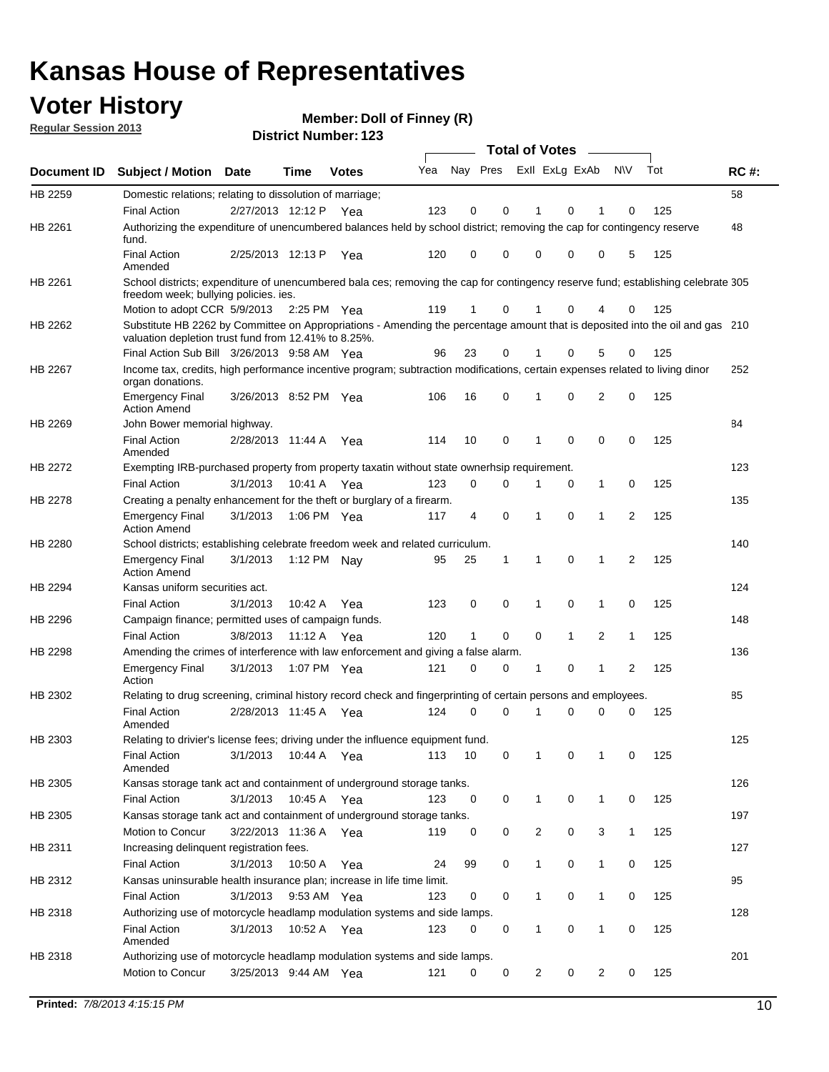### **Voter History**

**Member: Doll of Finney (R)** 

**Regular Session 2013**

|                    |                                                                                                                                                                                       |                       |             |              |     |                         |          | <b>Total of Votes</b> |   | $\frac{1}{2}$ |                |     |     |
|--------------------|---------------------------------------------------------------------------------------------------------------------------------------------------------------------------------------|-----------------------|-------------|--------------|-----|-------------------------|----------|-----------------------|---|---------------|----------------|-----|-----|
| <b>Document ID</b> | <b>Subject / Motion Date</b>                                                                                                                                                          |                       | <b>Time</b> | <b>Votes</b> | Yea | Nay Pres Exll ExLg ExAb |          |                       |   |               | <b>NV</b>      | Tot | RC# |
| HB 2259            | Domestic relations; relating to dissolution of marriage;                                                                                                                              |                       |             |              |     |                         |          |                       |   |               |                |     | 58  |
|                    | <b>Final Action</b>                                                                                                                                                                   | 2/27/2013 12:12 P     |             | Yea          | 123 | 0                       | 0        | 1                     | 0 | 1             | 0              | 125 |     |
| HB 2261            | Authorizing the expenditure of unencumbered balances held by school district; removing the cap for contingency reserve<br>fund.                                                       |                       |             |              |     |                         |          |                       |   |               |                |     | 48  |
|                    | <b>Final Action</b><br>Amended                                                                                                                                                        | 2/25/2013 12:13 P     |             | Yea          | 120 | 0                       | 0        | 0                     | 0 | 0             | 5              | 125 |     |
| HB 2261            | School districts; expenditure of unencumbered bala ces; removing the cap for contingency reserve fund; establishing celebrate 305<br>freedom week; bullying policies. ies.            |                       |             |              |     |                         |          |                       |   |               |                |     |     |
|                    | Motion to adopt CCR 5/9/2013                                                                                                                                                          |                       | 2:25 PM Yea |              | 119 | 1                       | 0        | 1                     | 0 | 4             | 0              | 125 |     |
| HB 2262            | Substitute HB 2262 by Committee on Appropriations - Amending the percentage amount that is deposited into the oil and gas 210<br>valuation depletion trust fund from 12.41% to 8.25%. |                       |             |              |     |                         |          |                       |   |               |                |     |     |
|                    | Final Action Sub Bill 3/26/2013 9:58 AM Yea                                                                                                                                           |                       |             |              | 96  | 23                      | 0        |                       | 0 | 5             | 0              | 125 |     |
| HB 2267            | Income tax, credits, high performance incentive program; subtraction modifications, certain expenses related to living dinor<br>organ donations.                                      |                       |             |              |     |                         |          |                       |   |               |                |     | 252 |
|                    | <b>Emergency Final</b><br><b>Action Amend</b>                                                                                                                                         | 3/26/2013 8:52 PM Yea |             |              | 106 | 16                      | 0        | 1                     | 0 | 2             | 0              | 125 |     |
| HB 2269            | John Bower memorial highway.                                                                                                                                                          |                       |             |              |     |                         |          |                       |   |               |                |     | 84  |
|                    | <b>Final Action</b><br>Amended                                                                                                                                                        | 2/28/2013 11:44 A     |             | Yea          | 114 | 10                      | 0        | $\mathbf 1$           | 0 | 0             | 0              | 125 |     |
| HB 2272            | Exempting IRB-purchased property from property taxatin without state ownerhsip requirement.                                                                                           |                       |             |              |     |                         |          |                       |   |               |                |     | 123 |
|                    | <b>Final Action</b>                                                                                                                                                                   | 3/1/2013              | 10:41 A     | Yea          | 123 | 0                       | 0        | 1                     | 0 | $\mathbf{1}$  | 0              | 125 |     |
| HB 2278            | Creating a penalty enhancement for the theft or burglary of a firearm.                                                                                                                |                       |             |              |     |                         |          |                       |   |               |                |     | 135 |
|                    | <b>Emergency Final</b><br><b>Action Amend</b>                                                                                                                                         | 3/1/2013              | 1:06 PM Yea |              | 117 | 4                       | 0        | 1                     | 0 | 1             | $\overline{2}$ | 125 |     |
| HB 2280            | School districts; establishing celebrate freedom week and related curriculum.                                                                                                         |                       |             |              |     |                         |          |                       |   |               |                |     | 140 |
|                    | <b>Emergency Final</b><br><b>Action Amend</b>                                                                                                                                         | 3/1/2013              | 1:12 PM Nay |              | 95  | 25                      | 1        | 1                     | 0 | 1             | 2              | 125 |     |
| HB 2294            | Kansas uniform securities act.                                                                                                                                                        |                       |             |              |     |                         |          |                       |   |               |                |     | 124 |
|                    | <b>Final Action</b>                                                                                                                                                                   | 3/1/2013              | 10:42 A     | Yea          | 123 | 0                       | 0        | 1                     | 0 | 1             | 0              | 125 |     |
| HB 2296            | Campaign finance; permitted uses of campaign funds.                                                                                                                                   |                       |             |              |     |                         |          |                       |   |               |                |     | 148 |
|                    | <b>Final Action</b>                                                                                                                                                                   | 3/8/2013              | 11:12 A Yea |              | 120 | 1                       | 0        | 0                     | 1 | 2             | 1              | 125 |     |
| HB 2298            | Amending the crimes of interference with law enforcement and giving a false alarm.                                                                                                    |                       |             |              |     |                         |          |                       |   |               |                |     | 136 |
|                    | <b>Emergency Final</b><br>Action                                                                                                                                                      | 3/1/2013              | 1:07 PM Yea |              | 121 | 0                       | 0        | 1                     | 0 | 1             | 2              | 125 |     |
| HB 2302            | Relating to drug screening, criminal history record check and fingerprinting of certain persons and employees.                                                                        |                       |             |              |     |                         |          |                       |   |               |                |     | 85  |
|                    | <b>Final Action</b><br>Amended                                                                                                                                                        | 2/28/2013 11:45 A     |             | Yea          | 124 | 0                       | $\Omega$ | 1                     | 0 | 0             | 0              | 125 |     |
| HB 2303            | Relating to drivier's license fees; driving under the influence equipment fund.                                                                                                       |                       |             |              |     |                         |          |                       |   |               |                |     | 125 |
|                    | <b>Final Action</b><br>Amended                                                                                                                                                        | 3/1/2013              | 10:44 A     | Yea          | 113 | 10                      | 0        |                       | 0 |               | 0              | 125 |     |
| HB 2305            | Kansas storage tank act and containment of underground storage tanks.                                                                                                                 |                       |             |              |     |                         |          |                       |   |               |                |     | 126 |
|                    | <b>Final Action</b>                                                                                                                                                                   | 3/1/2013              | 10:45 A     | Yea          | 123 | 0                       | 0        | 1                     | 0 | 1             | 0              | 125 |     |
| HB 2305            | Kansas storage tank act and containment of underground storage tanks.                                                                                                                 |                       |             |              |     |                         |          |                       |   |               |                |     | 197 |
|                    | Motion to Concur                                                                                                                                                                      | 3/22/2013 11:36 A     |             | Yea          | 119 | 0                       | 0        | 2                     | 0 | 3             | $\mathbf{1}$   | 125 |     |
| HB 2311            | Increasing delinquent registration fees.                                                                                                                                              |                       |             |              |     |                         |          |                       |   |               |                |     | 127 |
|                    | <b>Final Action</b>                                                                                                                                                                   | 3/1/2013              | 10:50 A     | Yea          | 24  | 99                      | 0        | 1                     | 0 | $\mathbf{1}$  | 0              | 125 |     |
| HB 2312            | Kansas uninsurable health insurance plan; increase in life time limit.                                                                                                                |                       |             |              |     |                         |          |                       |   |               |                |     | 95  |
|                    | <b>Final Action</b>                                                                                                                                                                   | 3/1/2013              | 9:53 AM Yea |              | 123 | 0                       | 0        | 1                     | 0 | $\mathbf{1}$  | 0              | 125 |     |
| HB 2318            | Authorizing use of motorcycle headlamp modulation systems and side lamps.                                                                                                             |                       |             |              |     |                         |          |                       |   |               |                |     | 128 |
|                    | <b>Final Action</b><br>Amended                                                                                                                                                        | 3/1/2013              | 10:52 A     | Yea          | 123 | 0                       | 0        | 1                     | 0 | 1             | 0              | 125 |     |
| HB 2318            | Authorizing use of motorcycle headlamp modulation systems and side lamps.                                                                                                             |                       |             |              |     |                         |          |                       |   |               |                |     | 201 |
|                    | Motion to Concur                                                                                                                                                                      | 3/25/2013 9:44 AM Yea |             |              | 121 | 0                       | 0        | 2                     | 0 | 2             | 0              | 125 |     |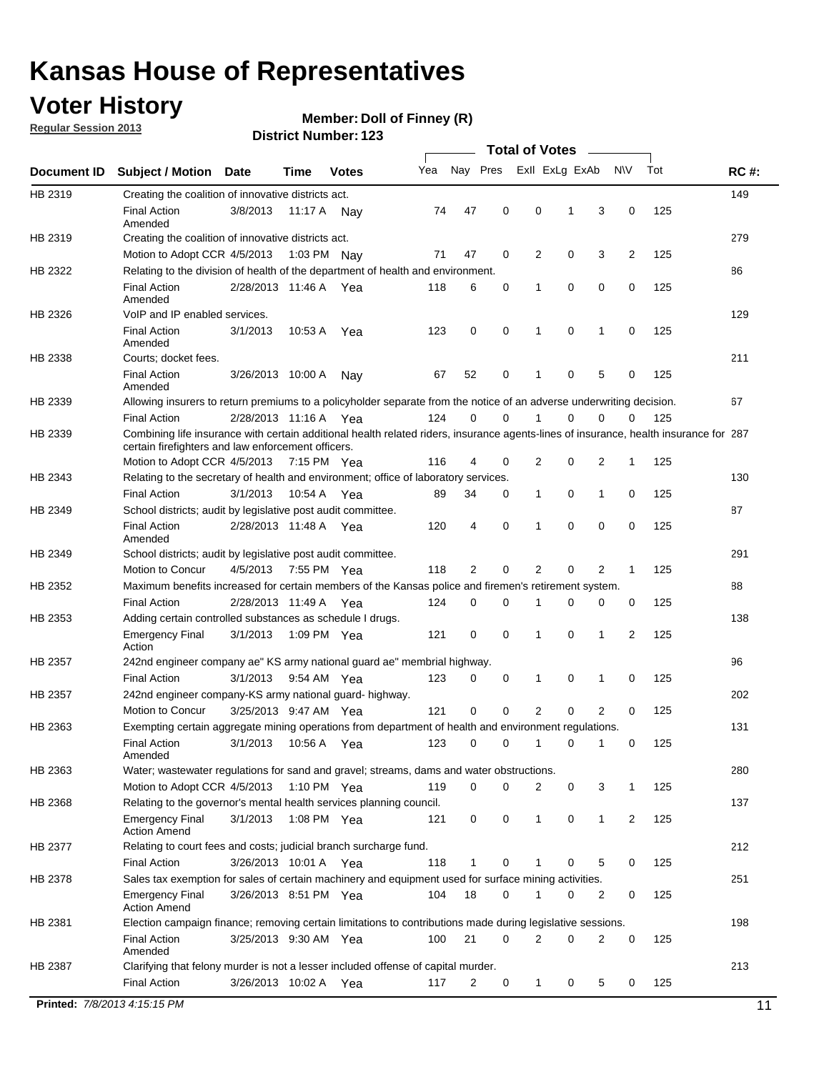### **Voter History**

**Member: Doll of Finney (R)** 

**Regular Session 2013**

| Document ID<br>HB 2319<br>HB 2319<br>HB 2322<br>HB 2326<br>HB 2338<br>HB 2339<br>HB 2339 | <b>Subject / Motion</b><br>Creating the coalition of innovative districts act.<br><b>Final Action</b><br>Amended<br>Creating the coalition of innovative districts act.<br>Motion to Adopt CCR 4/5/2013<br>Relating to the division of health of the department of health and environment.<br><b>Final Action</b><br>Amended<br>VoIP and IP enabled services.<br><b>Final Action</b><br>Amended<br>Courts; docket fees.<br><b>Final Action</b><br>Amended<br>Allowing insurers to return premiums to a policyholder separate from the notice of an adverse underwriting decision.<br><b>Final Action</b><br>Combining life insurance with certain additional health related riders, insurance agents-lines of insurance, health insurance for 287<br>certain firefighters and law enforcement officers. | <b>Date</b><br>3/8/2013<br>2/28/2013 11:46 A Yea<br>3/1/2013<br>3/26/2013 10:00 A<br>2/28/2013 11:16 A Yea | Time<br>11:17 A<br>1:03 PM<br>10:53 A | <b>Votes</b><br>Nav<br>Nav<br>Yea<br>Nav | Yea<br>74<br>71<br>118<br>123<br>67 | Nay Pres<br>47<br>47<br>6<br>0 | 0<br>0<br>0<br>0 | Exll ExLg ExAb<br>0<br>2<br>1<br>1 | 1<br>0<br>0<br>0 | 3<br>3<br>0<br>1 | <b>NV</b><br>0<br>$\overline{2}$<br>0<br>0 | Tot<br>125<br>125<br>125<br>125 | <b>RC#:</b><br>149<br>279<br>86<br>129 |
|------------------------------------------------------------------------------------------|---------------------------------------------------------------------------------------------------------------------------------------------------------------------------------------------------------------------------------------------------------------------------------------------------------------------------------------------------------------------------------------------------------------------------------------------------------------------------------------------------------------------------------------------------------------------------------------------------------------------------------------------------------------------------------------------------------------------------------------------------------------------------------------------------------|------------------------------------------------------------------------------------------------------------|---------------------------------------|------------------------------------------|-------------------------------------|--------------------------------|------------------|------------------------------------|------------------|------------------|--------------------------------------------|---------------------------------|----------------------------------------|
|                                                                                          |                                                                                                                                                                                                                                                                                                                                                                                                                                                                                                                                                                                                                                                                                                                                                                                                         |                                                                                                            |                                       |                                          |                                     |                                |                  |                                    |                  |                  |                                            |                                 |                                        |
|                                                                                          |                                                                                                                                                                                                                                                                                                                                                                                                                                                                                                                                                                                                                                                                                                                                                                                                         |                                                                                                            |                                       |                                          |                                     |                                |                  |                                    |                  |                  |                                            |                                 |                                        |
|                                                                                          |                                                                                                                                                                                                                                                                                                                                                                                                                                                                                                                                                                                                                                                                                                                                                                                                         |                                                                                                            |                                       |                                          |                                     |                                |                  |                                    |                  |                  |                                            |                                 |                                        |
|                                                                                          |                                                                                                                                                                                                                                                                                                                                                                                                                                                                                                                                                                                                                                                                                                                                                                                                         |                                                                                                            |                                       |                                          |                                     |                                |                  |                                    |                  |                  |                                            |                                 |                                        |
|                                                                                          |                                                                                                                                                                                                                                                                                                                                                                                                                                                                                                                                                                                                                                                                                                                                                                                                         |                                                                                                            |                                       |                                          |                                     |                                |                  |                                    |                  |                  |                                            |                                 |                                        |
|                                                                                          |                                                                                                                                                                                                                                                                                                                                                                                                                                                                                                                                                                                                                                                                                                                                                                                                         |                                                                                                            |                                       |                                          |                                     |                                |                  |                                    |                  |                  |                                            |                                 |                                        |
|                                                                                          |                                                                                                                                                                                                                                                                                                                                                                                                                                                                                                                                                                                                                                                                                                                                                                                                         |                                                                                                            |                                       |                                          |                                     |                                |                  |                                    |                  |                  |                                            |                                 |                                        |
|                                                                                          |                                                                                                                                                                                                                                                                                                                                                                                                                                                                                                                                                                                                                                                                                                                                                                                                         |                                                                                                            |                                       |                                          |                                     |                                |                  |                                    |                  |                  |                                            |                                 |                                        |
|                                                                                          |                                                                                                                                                                                                                                                                                                                                                                                                                                                                                                                                                                                                                                                                                                                                                                                                         |                                                                                                            |                                       |                                          |                                     |                                |                  |                                    |                  |                  |                                            |                                 |                                        |
|                                                                                          |                                                                                                                                                                                                                                                                                                                                                                                                                                                                                                                                                                                                                                                                                                                                                                                                         |                                                                                                            |                                       |                                          |                                     |                                |                  |                                    |                  |                  |                                            |                                 | 211                                    |
|                                                                                          |                                                                                                                                                                                                                                                                                                                                                                                                                                                                                                                                                                                                                                                                                                                                                                                                         |                                                                                                            |                                       |                                          |                                     | 52                             | 0                | 1                                  | 0                | 5                | 0                                          | 125                             |                                        |
|                                                                                          |                                                                                                                                                                                                                                                                                                                                                                                                                                                                                                                                                                                                                                                                                                                                                                                                         |                                                                                                            |                                       |                                          |                                     |                                |                  |                                    |                  |                  |                                            |                                 | 67                                     |
|                                                                                          |                                                                                                                                                                                                                                                                                                                                                                                                                                                                                                                                                                                                                                                                                                                                                                                                         |                                                                                                            |                                       |                                          | 124                                 | 0                              | 0                | 1                                  | 0                | 0                | 0                                          | 125                             |                                        |
|                                                                                          |                                                                                                                                                                                                                                                                                                                                                                                                                                                                                                                                                                                                                                                                                                                                                                                                         |                                                                                                            |                                       |                                          |                                     |                                |                  |                                    |                  |                  |                                            |                                 |                                        |
|                                                                                          | Motion to Adopt CCR 4/5/2013 7:15 PM Yea                                                                                                                                                                                                                                                                                                                                                                                                                                                                                                                                                                                                                                                                                                                                                                |                                                                                                            |                                       |                                          | 116                                 | 4                              | 0                | 2                                  | 0                | 2                | 1                                          | 125                             |                                        |
| HB 2343                                                                                  | Relating to the secretary of health and environment; office of laboratory services.                                                                                                                                                                                                                                                                                                                                                                                                                                                                                                                                                                                                                                                                                                                     |                                                                                                            |                                       |                                          |                                     |                                |                  |                                    |                  |                  |                                            |                                 | 130                                    |
|                                                                                          | <b>Final Action</b>                                                                                                                                                                                                                                                                                                                                                                                                                                                                                                                                                                                                                                                                                                                                                                                     | 3/1/2013                                                                                                   | 10:54 A Yea                           |                                          | 89                                  | 34                             | 0                | 1                                  | 0                | 1                | 0                                          | 125                             |                                        |
| HB 2349                                                                                  | School districts; audit by legislative post audit committee.                                                                                                                                                                                                                                                                                                                                                                                                                                                                                                                                                                                                                                                                                                                                            |                                                                                                            |                                       |                                          |                                     |                                |                  |                                    |                  |                  |                                            |                                 | 87                                     |
|                                                                                          | <b>Final Action</b><br>Amended                                                                                                                                                                                                                                                                                                                                                                                                                                                                                                                                                                                                                                                                                                                                                                          | 2/28/2013 11:48 A Yea                                                                                      |                                       |                                          | 120                                 | 4                              | $\mathbf 0$      | 1                                  | 0                | 0                | 0                                          | 125                             |                                        |
| HB 2349                                                                                  | School districts; audit by legislative post audit committee.                                                                                                                                                                                                                                                                                                                                                                                                                                                                                                                                                                                                                                                                                                                                            |                                                                                                            |                                       |                                          |                                     |                                |                  |                                    |                  |                  |                                            |                                 | 291                                    |
|                                                                                          | Motion to Concur                                                                                                                                                                                                                                                                                                                                                                                                                                                                                                                                                                                                                                                                                                                                                                                        | 4/5/2013                                                                                                   | 7:55 PM Yea                           |                                          | 118                                 | 2                              | 0                | 2                                  | 0                | 2                | 1                                          | 125                             |                                        |
| HB 2352                                                                                  | Maximum benefits increased for certain members of the Kansas police and firemen's retirement system.                                                                                                                                                                                                                                                                                                                                                                                                                                                                                                                                                                                                                                                                                                    |                                                                                                            |                                       |                                          |                                     |                                |                  |                                    |                  |                  |                                            |                                 | 88                                     |
|                                                                                          | <b>Final Action</b>                                                                                                                                                                                                                                                                                                                                                                                                                                                                                                                                                                                                                                                                                                                                                                                     | 2/28/2013 11:49 A                                                                                          |                                       | Yea                                      | 124                                 | 0                              | 0                | 1                                  | 0                | 0                | 0                                          | 125                             |                                        |
| HB 2353                                                                                  | Adding certain controlled substances as schedule I drugs.                                                                                                                                                                                                                                                                                                                                                                                                                                                                                                                                                                                                                                                                                                                                               |                                                                                                            |                                       |                                          |                                     |                                |                  |                                    |                  |                  |                                            |                                 | 138                                    |
|                                                                                          | <b>Emergency Final</b><br>Action                                                                                                                                                                                                                                                                                                                                                                                                                                                                                                                                                                                                                                                                                                                                                                        | 3/1/2013                                                                                                   | 1:09 PM Yea                           |                                          | 121                                 | 0                              | $\mathbf 0$      | 1                                  | 0                | 1                | 2                                          | 125                             |                                        |
| HB 2357                                                                                  | 242nd engineer company ae" KS army national guard ae" membrial highway.                                                                                                                                                                                                                                                                                                                                                                                                                                                                                                                                                                                                                                                                                                                                 |                                                                                                            |                                       |                                          |                                     |                                |                  |                                    |                  |                  |                                            |                                 | 96                                     |
|                                                                                          | <b>Final Action</b>                                                                                                                                                                                                                                                                                                                                                                                                                                                                                                                                                                                                                                                                                                                                                                                     | 3/1/2013                                                                                                   | 9:54 AM Yea                           |                                          | 123                                 | 0                              | 0                | 1                                  | 0                | 1                | 0                                          | 125                             |                                        |
| HB 2357                                                                                  | 242nd engineer company-KS army national guard- highway.                                                                                                                                                                                                                                                                                                                                                                                                                                                                                                                                                                                                                                                                                                                                                 |                                                                                                            |                                       |                                          |                                     |                                |                  |                                    |                  |                  |                                            |                                 | 202                                    |
|                                                                                          | Motion to Concur                                                                                                                                                                                                                                                                                                                                                                                                                                                                                                                                                                                                                                                                                                                                                                                        | 3/25/2013 9:47 AM Yea                                                                                      |                                       |                                          | 121                                 | $\mathbf 0$                    | $\mathbf 0$      | $\overline{2}$                     | 0                | 2                | 0                                          | 125                             |                                        |
| HB 2363                                                                                  | Exempting certain aggregate mining operations from department of health and environment regulations.                                                                                                                                                                                                                                                                                                                                                                                                                                                                                                                                                                                                                                                                                                    |                                                                                                            |                                       |                                          |                                     |                                |                  |                                    |                  |                  |                                            |                                 | 131                                    |
|                                                                                          | <b>Final Action</b><br>Amended                                                                                                                                                                                                                                                                                                                                                                                                                                                                                                                                                                                                                                                                                                                                                                          | 3/1/2013                                                                                                   | 10:56 A                               | Yea                                      | 123                                 | 0                              | 0                | 1                                  | 0                | 1                | 0                                          | 125                             |                                        |
| HB 2363                                                                                  | Water; wastewater regulations for sand and gravel; streams, dams and water obstructions.                                                                                                                                                                                                                                                                                                                                                                                                                                                                                                                                                                                                                                                                                                                |                                                                                                            |                                       |                                          |                                     |                                |                  |                                    |                  |                  |                                            |                                 | 280                                    |
|                                                                                          | Motion to Adopt CCR 4/5/2013                                                                                                                                                                                                                                                                                                                                                                                                                                                                                                                                                                                                                                                                                                                                                                            |                                                                                                            | 1:10 PM Yea                           |                                          | 119                                 | 0                              | 0                | 2                                  | 0                | 3                | 1                                          | 125                             |                                        |
| HB 2368                                                                                  | Relating to the governor's mental health services planning council.                                                                                                                                                                                                                                                                                                                                                                                                                                                                                                                                                                                                                                                                                                                                     |                                                                                                            |                                       |                                          |                                     |                                |                  |                                    |                  |                  |                                            |                                 | 137                                    |
|                                                                                          | <b>Emergency Final</b><br><b>Action Amend</b>                                                                                                                                                                                                                                                                                                                                                                                                                                                                                                                                                                                                                                                                                                                                                           | 3/1/2013                                                                                                   | 1:08 PM Yea                           |                                          | 121                                 | 0                              | 0                | 1                                  | 0                | $\mathbf{1}$     | 2                                          | 125                             |                                        |
| HB 2377                                                                                  | Relating to court fees and costs; judicial branch surcharge fund.                                                                                                                                                                                                                                                                                                                                                                                                                                                                                                                                                                                                                                                                                                                                       |                                                                                                            |                                       |                                          |                                     |                                |                  |                                    |                  |                  |                                            |                                 | 212                                    |
|                                                                                          | <b>Final Action</b>                                                                                                                                                                                                                                                                                                                                                                                                                                                                                                                                                                                                                                                                                                                                                                                     | 3/26/2013 10:01 A Yea                                                                                      |                                       |                                          | 118                                 | 1                              | 0                |                                    | 0                | 5                | 0                                          | 125                             |                                        |
| HB 2378                                                                                  | Sales tax exemption for sales of certain machinery and equipment used for surface mining activities.                                                                                                                                                                                                                                                                                                                                                                                                                                                                                                                                                                                                                                                                                                    |                                                                                                            |                                       |                                          |                                     |                                |                  |                                    |                  |                  |                                            |                                 | 251                                    |
|                                                                                          | <b>Emergency Final</b><br><b>Action Amend</b>                                                                                                                                                                                                                                                                                                                                                                                                                                                                                                                                                                                                                                                                                                                                                           | 3/26/2013 8:51 PM Yea                                                                                      |                                       |                                          | 104                                 | 18                             | 0                | 1                                  | 0                | 2                | 0                                          | 125                             |                                        |
| HB 2381                                                                                  | Election campaign finance; removing certain limitations to contributions made during legislative sessions.                                                                                                                                                                                                                                                                                                                                                                                                                                                                                                                                                                                                                                                                                              |                                                                                                            |                                       |                                          |                                     |                                |                  |                                    |                  |                  |                                            |                                 | 198                                    |
|                                                                                          | <b>Final Action</b><br>Amended                                                                                                                                                                                                                                                                                                                                                                                                                                                                                                                                                                                                                                                                                                                                                                          | 3/25/2013 9:30 AM Yea                                                                                      |                                       |                                          | 100                                 | 21                             | $\mathbf 0$      | 2                                  | 0                | 2                | 0                                          | 125                             |                                        |
| HB 2387                                                                                  | Clarifying that felony murder is not a lesser included offense of capital murder.                                                                                                                                                                                                                                                                                                                                                                                                                                                                                                                                                                                                                                                                                                                       |                                                                                                            |                                       |                                          |                                     |                                |                  |                                    |                  |                  |                                            |                                 | 213                                    |
|                                                                                          | <b>Final Action</b>                                                                                                                                                                                                                                                                                                                                                                                                                                                                                                                                                                                                                                                                                                                                                                                     | 3/26/2013 10:02 A                                                                                          |                                       | Yea                                      | 117                                 | 2                              | 0                | $\mathbf{1}$                       | 0                | 5                | 0                                          | 125                             |                                        |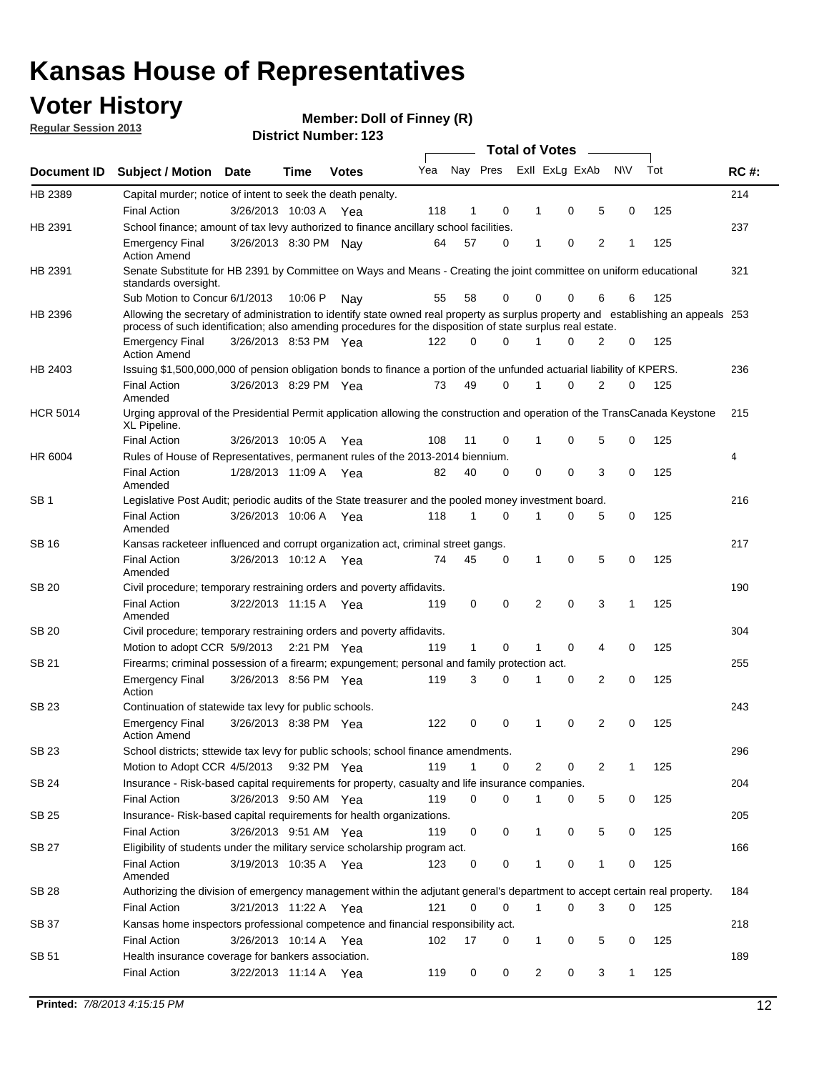### **Voter History**

**Member: Doll of Finney (R)** 

**Regular Session 2013**

|                 |                                                                                                                                                                                                                                                  |                       |         |              |     |              |   | <b>Total of Votes</b> |             |   |              |     |             |
|-----------------|--------------------------------------------------------------------------------------------------------------------------------------------------------------------------------------------------------------------------------------------------|-----------------------|---------|--------------|-----|--------------|---|-----------------------|-------------|---|--------------|-----|-------------|
| Document ID     | <b>Subject / Motion</b>                                                                                                                                                                                                                          | <b>Date</b>           | Time    | <b>Votes</b> | Yea | Nay Pres     |   | Exll ExLg ExAb        |             |   | <b>NV</b>    | Tot | <b>RC#:</b> |
| HB 2389         | Capital murder; notice of intent to seek the death penalty.                                                                                                                                                                                      |                       |         |              |     |              |   |                       |             |   |              |     | 214         |
|                 | <b>Final Action</b>                                                                                                                                                                                                                              | 3/26/2013 10:03 A     |         | Yea          | 118 | 1            | 0 | 1                     | 0           | 5 | 0            | 125 |             |
| HB 2391         | School finance; amount of tax levy authorized to finance ancillary school facilities.                                                                                                                                                            |                       |         |              |     |              |   |                       |             |   |              |     | 237         |
|                 | <b>Emergency Final</b><br><b>Action Amend</b>                                                                                                                                                                                                    | 3/26/2013 8:30 PM Nay |         |              | 64  | 57           | 0 | $\mathbf{1}$          | 0           | 2 | 1            | 125 |             |
| HB 2391         | Senate Substitute for HB 2391 by Committee on Ways and Means - Creating the joint committee on uniform educational<br>standards oversight.                                                                                                       |                       |         |              |     |              |   |                       |             |   |              |     | 321         |
|                 | Sub Motion to Concur 6/1/2013                                                                                                                                                                                                                    |                       | 10:06 P | Nav          | 55  | 58           | 0 | 0                     | 0           | 6 | 6            | 125 |             |
| HB 2396         | Allowing the secretary of administration to identify state owned real property as surplus property and establishing an appeals 253<br>process of such identification; also amending procedures for the disposition of state surplus real estate. |                       |         |              |     |              |   |                       |             |   |              |     |             |
|                 | <b>Emergency Final</b><br><b>Action Amend</b>                                                                                                                                                                                                    | 3/26/2013 8:53 PM Yea |         |              | 122 | 0            | 0 | 1                     | 0           | 2 | 0            | 125 |             |
| HB 2403         | Issuing \$1,500,000,000 of pension obligation bonds to finance a portion of the unfunded actuarial liability of KPERS.                                                                                                                           |                       |         |              |     |              |   |                       |             |   |              |     | 236         |
|                 | <b>Final Action</b><br>Amended                                                                                                                                                                                                                   | 3/26/2013 8:29 PM Yea |         |              | 73  | 49           | 0 | 1                     | 0           | 2 | 0            | 125 |             |
| <b>HCR 5014</b> | Urging approval of the Presidential Permit application allowing the construction and operation of the TransCanada Keystone<br>XL Pipeline.                                                                                                       |                       |         |              |     |              |   |                       |             |   |              |     | 215         |
|                 | <b>Final Action</b>                                                                                                                                                                                                                              | 3/26/2013 10:05 A     |         | Yea          | 108 | 11           | 0 |                       | 0           | 5 | 0            | 125 |             |
| HR 6004         | Rules of House of Representatives, permanent rules of the 2013-2014 biennium.                                                                                                                                                                    |                       |         |              |     |              |   |                       |             |   |              |     | 4           |
|                 | <b>Final Action</b><br>Amended                                                                                                                                                                                                                   | 1/28/2013 11:09 A     |         | Yea          | 82  | 40           | 0 | 0                     | 0           | 3 | 0            | 125 |             |
| SB 1            | Legislative Post Audit; periodic audits of the State treasurer and the pooled money investment board.                                                                                                                                            |                       |         |              |     |              |   |                       |             |   |              |     | 216         |
|                 | <b>Final Action</b><br>Amended                                                                                                                                                                                                                   | 3/26/2013 10:06 A Yea |         |              | 118 | $\mathbf{1}$ | 0 | 1                     | 0           | 5 | 0            | 125 |             |
| SB 16           | Kansas racketeer influenced and corrupt organization act, criminal street gangs.                                                                                                                                                                 |                       |         |              |     |              |   |                       |             |   |              |     | 217         |
|                 | <b>Final Action</b><br>Amended                                                                                                                                                                                                                   | 3/26/2013 10:12 A Yea |         |              | 74  | 45           | 0 | 1                     | $\mathbf 0$ | 5 | 0            | 125 |             |
| SB 20           | Civil procedure; temporary restraining orders and poverty affidavits.                                                                                                                                                                            |                       |         |              |     |              |   |                       |             |   |              |     | 190         |
|                 | <b>Final Action</b><br>Amended                                                                                                                                                                                                                   | 3/22/2013 11:15 A     |         | Yea          | 119 | 0            | 0 | 2                     | 0           | 3 | $\mathbf{1}$ | 125 |             |
| <b>SB 20</b>    | Civil procedure; temporary restraining orders and poverty affidavits.                                                                                                                                                                            |                       |         |              |     |              |   |                       |             |   |              |     | 304         |
|                 | Motion to adopt CCR 5/9/2013 2:21 PM Yea                                                                                                                                                                                                         |                       |         |              | 119 | 1            | 0 | 1                     | 0           | 4 | 0            | 125 |             |
| SB 21           | Firearms; criminal possession of a firearm; expungement; personal and family protection act.                                                                                                                                                     |                       |         |              |     |              |   |                       |             |   |              |     | 255         |
|                 | <b>Emergency Final</b><br>Action                                                                                                                                                                                                                 | 3/26/2013 8:56 PM Yea |         |              | 119 | 3            | 0 | 1                     | 0           | 2 | 0            | 125 |             |
| SB 23           | Continuation of statewide tax levy for public schools.                                                                                                                                                                                           |                       |         |              |     |              |   |                       |             |   |              |     | 243         |
|                 | <b>Emergency Final</b><br><b>Action Amend</b>                                                                                                                                                                                                    | 3/26/2013 8:38 PM Yea |         |              | 122 | 0            | 0 | 1                     | 0           | 2 | 0            | 125 |             |
| <b>SB 23</b>    | School districts; sttewide tax levy for public schools; school finance amendments.                                                                                                                                                               |                       |         |              |     |              |   |                       |             |   |              |     | 296         |
|                 | Motion to Adopt CCR 4/5/2013 9:32 PM Yea                                                                                                                                                                                                         |                       |         |              | 119 | $\mathbf{1}$ | 0 | 2                     | 0           | 2 | 1            | 125 |             |
| <b>SB 24</b>    | Insurance - Risk-based capital requirements for property, casualty and life insurance companies.                                                                                                                                                 |                       |         |              |     |              |   |                       |             |   |              |     | 204         |
|                 | <b>Final Action</b>                                                                                                                                                                                                                              | 3/26/2013 9:50 AM Yea |         |              | 119 | 0            | 0 | 1                     | 0           | 5 | 0            | 125 |             |
| SB 25           | Insurance-Risk-based capital requirements for health organizations.                                                                                                                                                                              |                       |         |              |     |              |   |                       |             |   |              |     | 205         |
|                 | <b>Final Action</b>                                                                                                                                                                                                                              | 3/26/2013 9:51 AM Yea |         |              | 119 | 0            | 0 | 1                     | 0           | 5 | 0            | 125 |             |
| SB 27           | Eligibility of students under the military service scholarship program act.                                                                                                                                                                      |                       |         |              |     |              |   |                       |             |   |              |     | 166         |
|                 | <b>Final Action</b><br>Amended                                                                                                                                                                                                                   | 3/19/2013 10:35 A Yea |         |              | 123 | 0            | 0 |                       | 0           | 1 | 0            | 125 |             |
| SB 28           | Authorizing the division of emergency management within the adjutant general's department to accept certain real property.                                                                                                                       |                       |         |              |     |              |   |                       |             |   |              |     | 184         |
|                 | <b>Final Action</b>                                                                                                                                                                                                                              | 3/21/2013 11:22 A Yea |         |              | 121 | $\Omega$     | 0 | 1                     | 0           | 3 | $\Omega$     | 125 |             |
| SB 37           | Kansas home inspectors professional competence and financial responsibility act.                                                                                                                                                                 |                       |         |              |     |              |   |                       |             |   |              |     | 218         |
|                 | <b>Final Action</b>                                                                                                                                                                                                                              | 3/26/2013 10:14 A Yea |         |              | 102 | 17           | 0 | 1                     | 0           | 5 | 0            | 125 |             |
| SB 51           | Health insurance coverage for bankers association.                                                                                                                                                                                               |                       |         |              |     |              |   |                       |             |   |              |     | 189         |
|                 | <b>Final Action</b>                                                                                                                                                                                                                              | 3/22/2013 11:14 A Yea |         |              | 119 | 0            | 0 | $\overline{2}$        | 0           | 3 | $\mathbf{1}$ | 125 |             |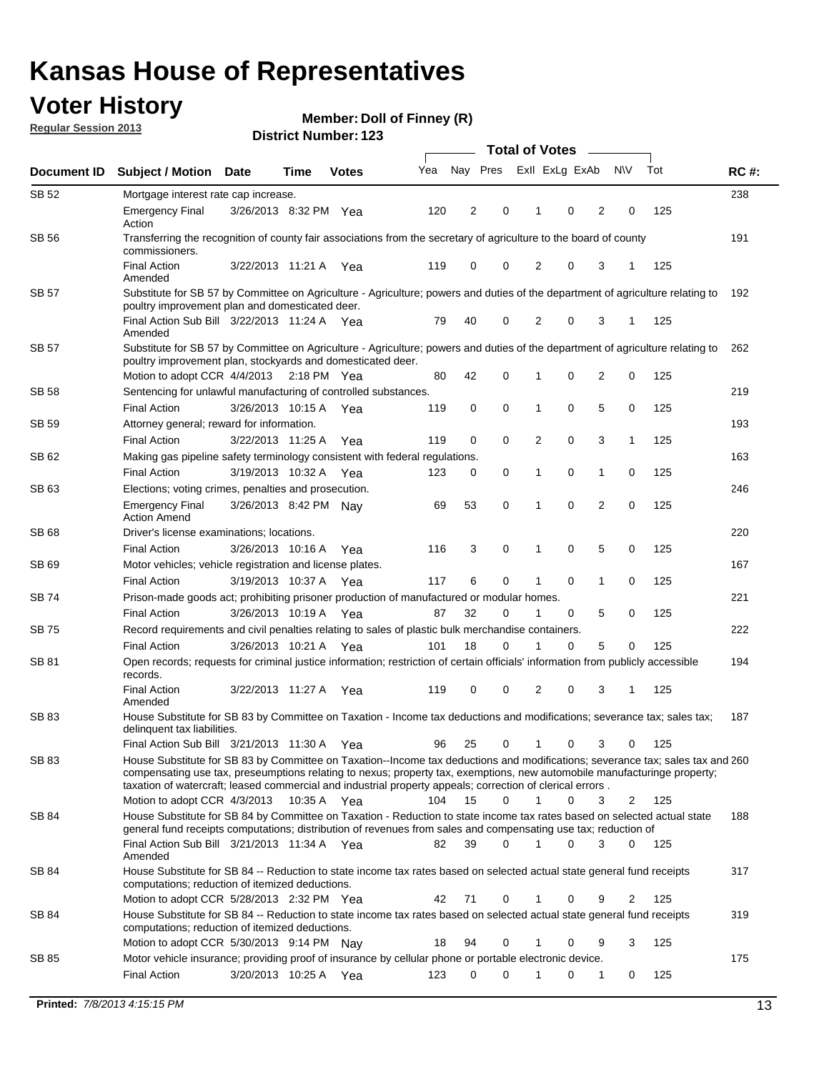### **Voter History**

**Member: Doll of Finney (R)** 

**Regular Session 2013**

|              | <b>Total of Votes</b>                                                                                                                                                                                                                                                                                                                                                   |                       |      |              |     |                |             |                |             |                |              |     |             |
|--------------|-------------------------------------------------------------------------------------------------------------------------------------------------------------------------------------------------------------------------------------------------------------------------------------------------------------------------------------------------------------------------|-----------------------|------|--------------|-----|----------------|-------------|----------------|-------------|----------------|--------------|-----|-------------|
| Document ID  | <b>Subject / Motion</b>                                                                                                                                                                                                                                                                                                                                                 | <b>Date</b>           | Time | <b>Votes</b> | Yea | Nay Pres       |             | Exll ExLg ExAb |             |                | <b>NV</b>    | Tot | <b>RC#:</b> |
| <b>SB 52</b> | Mortgage interest rate cap increase.                                                                                                                                                                                                                                                                                                                                    |                       |      |              |     |                |             |                |             |                |              |     | 238         |
|              | <b>Emergency Final</b><br>Action                                                                                                                                                                                                                                                                                                                                        | 3/26/2013 8:32 PM Yea |      |              | 120 | $\overline{c}$ | 0           |                | 0           | 2              | 0            | 125 |             |
| <b>SB 56</b> | Transferring the recognition of county fair associations from the secretary of agriculture to the board of county<br>commissioners.                                                                                                                                                                                                                                     |                       |      |              |     |                |             |                |             |                |              |     | 191         |
|              | <b>Final Action</b><br>Amended                                                                                                                                                                                                                                                                                                                                          | 3/22/2013 11:21 A Yea |      |              | 119 | 0              | 0           | 2              | 0           | 3              | 1            | 125 |             |
| SB 57        | Substitute for SB 57 by Committee on Agriculture - Agriculture; powers and duties of the department of agriculture relating to<br>poultry improvement plan and domesticated deer.                                                                                                                                                                                       |                       |      |              |     |                |             |                |             |                |              |     | 192         |
|              | Final Action Sub Bill 3/22/2013 11:24 A Yea<br>Amended                                                                                                                                                                                                                                                                                                                  |                       |      |              | 79  | 40             | 0           | 2              | 0           | 3              | 1            | 125 |             |
| SB 57        | Substitute for SB 57 by Committee on Agriculture - Agriculture; powers and duties of the department of agriculture relating to<br>poultry improvement plan, stockyards and domesticated deer.                                                                                                                                                                           |                       |      |              |     |                |             |                |             |                |              |     | 262         |
|              | Motion to adopt CCR 4/4/2013 2:18 PM Yea                                                                                                                                                                                                                                                                                                                                |                       |      |              | 80  | 42             | 0           | 1              | 0           | $\overline{2}$ | 0            | 125 |             |
| <b>SB 58</b> | Sentencing for unlawful manufacturing of controlled substances.                                                                                                                                                                                                                                                                                                         |                       |      |              |     |                |             |                |             |                |              |     | 219         |
|              | <b>Final Action</b>                                                                                                                                                                                                                                                                                                                                                     | 3/26/2013 10:15 A     |      | Yea          | 119 | 0              | 0           | 1              | 0           | 5              | 0            | 125 |             |
| SB 59        | Attorney general; reward for information.                                                                                                                                                                                                                                                                                                                               |                       |      |              |     |                |             |                |             |                |              |     | 193         |
|              | <b>Final Action</b>                                                                                                                                                                                                                                                                                                                                                     | 3/22/2013 11:25 A     |      | Yea          | 119 | 0              | $\mathbf 0$ | 2              | 0           | 3              | $\mathbf{1}$ | 125 |             |
| SB 62        | Making gas pipeline safety terminology consistent with federal regulations.                                                                                                                                                                                                                                                                                             |                       |      |              |     |                |             |                |             |                |              |     | 163         |
|              | <b>Final Action</b>                                                                                                                                                                                                                                                                                                                                                     | 3/19/2013 10:32 A     |      | Yea          | 123 | 0              | 0           | 1              | 0           | 1              | 0            | 125 |             |
| SB 63        | Elections; voting crimes, penalties and prosecution.                                                                                                                                                                                                                                                                                                                    |                       |      |              |     |                |             |                |             |                |              |     | 246         |
|              | <b>Emergency Final</b><br><b>Action Amend</b>                                                                                                                                                                                                                                                                                                                           | 3/26/2013 8:42 PM Nay |      |              | 69  | 53             | 0           | $\mathbf 1$    | $\mathbf 0$ | $\overline{2}$ | $\mathbf 0$  | 125 |             |
| SB 68        | Driver's license examinations; locations.                                                                                                                                                                                                                                                                                                                               |                       |      |              |     |                |             |                |             |                |              |     | 220         |
|              | <b>Final Action</b>                                                                                                                                                                                                                                                                                                                                                     | 3/26/2013 10:16 A     |      | Yea          | 116 | 3              | 0           | 1              | 0           | 5              | 0            | 125 |             |
| SB 69        | Motor vehicles; vehicle registration and license plates.                                                                                                                                                                                                                                                                                                                |                       |      |              |     |                |             |                |             |                |              |     | 167         |
|              | <b>Final Action</b>                                                                                                                                                                                                                                                                                                                                                     | 3/19/2013 10:37 A     |      | Yea          | 117 | 6              | 0           | 1              | 0           | 1              | 0            | 125 |             |
| SB 74        | Prison-made goods act; prohibiting prisoner production of manufactured or modular homes.                                                                                                                                                                                                                                                                                |                       |      |              |     |                |             |                |             |                |              |     | 221         |
|              | <b>Final Action</b>                                                                                                                                                                                                                                                                                                                                                     | 3/26/2013 10:19 A     |      | Yea          | 87  | 32             | 0           |                | 0           | 5              | 0            | 125 |             |
| SB 75        | Record requirements and civil penalties relating to sales of plastic bulk merchandise containers.                                                                                                                                                                                                                                                                       |                       |      |              |     |                |             |                |             |                |              |     | 222         |
|              | <b>Final Action</b>                                                                                                                                                                                                                                                                                                                                                     | 3/26/2013 10:21 A     |      | Yea          | 101 | 18             | 0           |                | 0           | 5              | 0            | 125 |             |
| SB 81        | Open records; requests for criminal justice information; restriction of certain officials' information from publicly accessible<br>records.                                                                                                                                                                                                                             |                       |      |              |     |                |             |                |             |                |              |     | 194         |
|              | <b>Final Action</b><br>Amended                                                                                                                                                                                                                                                                                                                                          | 3/22/2013 11:27 A Yea |      |              | 119 | 0              | 0           | 2              | 0           | 3              | 1            | 125 |             |
| <b>SB 83</b> | House Substitute for SB 83 by Committee on Taxation - Income tax deductions and modifications; severance tax; sales tax;<br>delinquent tax liabilities.                                                                                                                                                                                                                 |                       |      |              |     |                |             |                |             |                |              |     | 187         |
|              | Final Action Sub Bill 3/21/2013 11:30 A                                                                                                                                                                                                                                                                                                                                 |                       |      | Yea          | 96  | 25             | 0           | 1              | 0           | 3              | 0            | 125 |             |
| SB 83        | House Substitute for SB 83 by Committee on Taxation--Income tax deductions and modifications; severance tax; sales tax and 260<br>compensating use tax, preseumptions relating to nexus; property tax, exemptions, new automobile manufacturinge property;<br>taxation of watercraft; leased commercial and industrial property appeals; correction of clerical errors. |                       |      |              |     |                |             |                |             |                |              |     |             |
|              | Motion to adopt CCR 4/3/2013 10:35 A Yea                                                                                                                                                                                                                                                                                                                                |                       |      |              | 104 | 15             | 0           | 1              | 0           | 3              | 2            | 125 |             |
| SB 84        | House Substitute for SB 84 by Committee on Taxation - Reduction to state income tax rates based on selected actual state<br>general fund receipts computations; distribution of revenues from sales and compensating use tax; reduction of                                                                                                                              |                       |      |              |     |                |             |                |             |                |              |     | 188         |
|              | Final Action Sub Bill 3/21/2013 11:34 A Yea<br>Amended                                                                                                                                                                                                                                                                                                                  |                       |      |              | 82  | 39             | 0           | $\mathbf{1}$   | $\Omega$    | 3              | $\mathbf{0}$ | 125 |             |
| SB 84        | House Substitute for SB 84 -- Reduction to state income tax rates based on selected actual state general fund receipts<br>computations; reduction of itemized deductions.                                                                                                                                                                                               |                       |      |              |     |                |             |                |             |                |              |     | 317         |
|              | Motion to adopt CCR 5/28/2013 2:32 PM Yea                                                                                                                                                                                                                                                                                                                               |                       |      |              | 42  | 71             | 0           | 1              | 0           | 9              | 2            | 125 |             |
| SB 84        | House Substitute for SB 84 -- Reduction to state income tax rates based on selected actual state general fund receipts<br>computations; reduction of itemized deductions.<br>Motion to adopt CCR 5/30/2013 9:14 PM Nav                                                                                                                                                  |                       |      |              | 18  | 94             | 0           |                | 0           | 9              | 3            | 125 | 319         |
| SB 85        | Motor vehicle insurance; providing proof of insurance by cellular phone or portable electronic device.                                                                                                                                                                                                                                                                  |                       |      |              |     |                |             |                |             |                |              |     | 175         |
|              | <b>Final Action</b>                                                                                                                                                                                                                                                                                                                                                     | 3/20/2013 10:25 A Yea |      |              | 123 | 0              | 0           | 1              | 0           | 1              | 0            | 125 |             |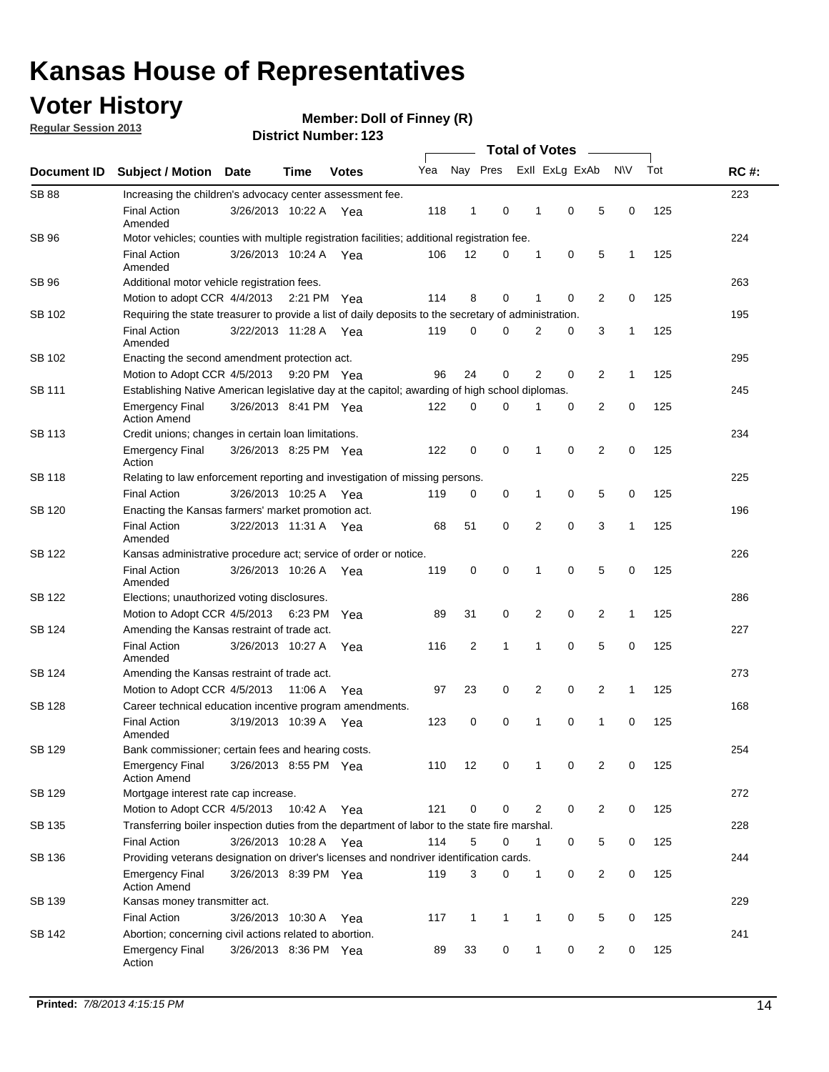### **Voter History**

**Regular Session 2013**

#### **Member: Doll of Finney (R)**

|                    |                                                                                                       | וסוט וישווווטרו. ובט  |             |              |     |              |              |                       |              |                |                |              |     |             |
|--------------------|-------------------------------------------------------------------------------------------------------|-----------------------|-------------|--------------|-----|--------------|--------------|-----------------------|--------------|----------------|----------------|--------------|-----|-------------|
| <b>Document ID</b> | <b>Subject / Motion</b>                                                                               | Date                  | Time        | <b>Votes</b> | Yea | Nay Pres     |              | <b>Total of Votes</b> |              | Exll ExLg ExAb |                | <b>NV</b>    | Tot | <b>RC#:</b> |
| <b>SB 88</b>       | Increasing the children's advocacy center assessment fee.                                             |                       |             |              |     |              |              |                       |              |                |                |              |     | 223         |
|                    | <b>Final Action</b><br>Amended                                                                        | 3/26/2013 10:22 A Yea |             |              | 118 | 1            | 0            |                       | 1            | $\mathbf 0$    | 5              | 0            | 125 |             |
| SB 96              | Motor vehicles; counties with multiple registration facilities; additional registration fee.          |                       |             |              |     |              |              |                       |              |                |                |              |     | 224         |
|                    | <b>Final Action</b><br>Amended                                                                        | 3/26/2013 10:24 A     |             | Yea          | 106 | 12           | 0            |                       | 1            | 0              | 5              | $\mathbf{1}$ | 125 |             |
| SB 96              | Additional motor vehicle registration fees.                                                           |                       |             |              |     |              |              |                       |              |                |                |              |     | 263         |
|                    | Motion to adopt CCR 4/4/2013 2:21 PM Yea                                                              |                       |             |              | 114 | 8            | 0            |                       | 1            | 0              | $\overline{2}$ | 0            | 125 |             |
| SB 102             | Requiring the state treasurer to provide a list of daily deposits to the secretary of administration. |                       |             |              |     |              |              |                       |              |                |                |              |     | 195         |
|                    | <b>Final Action</b><br>Amended                                                                        | 3/22/2013 11:28 A Yea |             |              | 119 | 0            | 0            |                       | 2            | 0              | 3              | 1            | 125 |             |
| SB 102             | Enacting the second amendment protection act.                                                         |                       |             |              |     |              |              |                       |              |                |                |              |     | 295         |
|                    | Motion to Adopt CCR 4/5/2013 9:20 PM Yea                                                              |                       |             |              | 96  | 24           | 0            |                       | 2            | 0              | 2              | $\mathbf{1}$ | 125 |             |
| SB 111             | Establishing Native American legislative day at the capitol; awarding of high school diplomas.        |                       |             |              |     |              |              |                       |              |                |                |              | 245 |             |
|                    | <b>Emergency Final</b><br><b>Action Amend</b>                                                         | 3/26/2013 8:41 PM Yea |             |              | 122 | 0            | 0            |                       |              | 0              | 2              | 0            | 125 |             |
| SB 113             | Credit unions; changes in certain loan limitations.                                                   |                       |             |              |     |              |              |                       |              |                |                |              |     | 234         |
|                    | <b>Emergency Final</b><br>Action                                                                      | 3/26/2013 8:25 PM Yea |             |              | 122 | 0            | 0            |                       | 1            | $\mathbf 0$    | $\overline{2}$ | $\mathbf 0$  | 125 |             |
| <b>SB 118</b>      | Relating to law enforcement reporting and investigation of missing persons.                           |                       |             |              |     |              |              |                       |              |                |                |              |     | 225         |
|                    | <b>Final Action</b>                                                                                   | 3/26/2013 10:25 A     |             | Yea          | 119 | 0            | 0            |                       | 1            | 0              | 5              | 0            | 125 |             |
| SB 120             | Enacting the Kansas farmers' market promotion act.                                                    |                       |             |              |     |              |              |                       |              |                |                |              |     | 196         |
|                    | <b>Final Action</b><br>Amended                                                                        | 3/22/2013 11:31 A Yea |             |              | 68  | 51           | 0            |                       | 2            | $\mathbf 0$    | 3              | $\mathbf{1}$ | 125 |             |
| SB 122             | Kansas administrative procedure act; service of order or notice.                                      |                       |             |              |     |              |              |                       |              |                |                |              |     | 226         |
|                    | <b>Final Action</b><br>Amended                                                                        | 3/26/2013 10:26 A Yea |             |              | 119 | $\mathbf 0$  | 0            |                       | 1            | 0              | 5              | 0            | 125 |             |
| SB 122             | Elections; unauthorized voting disclosures.                                                           |                       |             |              |     |              |              |                       |              |                |                |              |     | 286         |
|                    | Motion to Adopt CCR 4/5/2013                                                                          |                       | 6:23 PM     | Yea          | 89  | 31           | 0            |                       | 2            | 0              | 2              | 1            | 125 |             |
| SB 124             | Amending the Kansas restraint of trade act.                                                           |                       |             |              |     |              |              |                       |              |                |                |              |     | 227         |
|                    | <b>Final Action</b><br>Amended                                                                        | 3/26/2013 10:27 A     |             | Yea          | 116 | 2            | 1            |                       | 1            | $\mathbf 0$    | 5              | $\mathbf 0$  | 125 |             |
| SB 124             | Amending the Kansas restraint of trade act.                                                           |                       |             |              |     |              |              |                       |              |                |                |              |     | 273         |
|                    | Motion to Adopt CCR 4/5/2013                                                                          |                       | 11:06 A     | Yea          | 97  | 23           | 0            |                       | 2            | 0              | 2              | 1            | 125 |             |
| SB 128             | Career technical education incentive program amendments.                                              |                       |             |              |     |              |              |                       |              |                |                |              |     | 168         |
|                    | <b>Final Action</b><br>Amended                                                                        | 3/19/2013 10:39 A     |             | Yea          | 123 | 0            | 0            |                       | 1            | 0              | 1              | 0            | 125 |             |
| SB 129             | Bank commissioner; certain fees and hearing costs.                                                    |                       |             |              |     |              |              |                       |              |                |                |              |     | 254         |
|                    | <b>Emergency Final</b><br><b>Action Amend</b>                                                         | 3/26/2013 8:55 PM Yea |             |              | 110 | 12           | 0            |                       | 1            | 0              | 2              | 0            | 125 |             |
| SB 129             | Mortgage interest rate cap increase.                                                                  |                       |             |              |     |              |              |                       |              |                |                |              |     | 272         |
|                    | Motion to Adopt CCR 4/5/2013                                                                          |                       | 10:42 A Yea |              | 121 | 0            | 0            |                       | 2            | 0              | $\overline{2}$ | 0            | 125 |             |
| SB 135             | Transferring boiler inspection duties from the department of labor to the state fire marshal.         |                       |             |              |     |              |              |                       |              |                |                |              |     | 228         |
|                    | Final Action                                                                                          | 3/26/2013 10:28 A Yea |             |              | 114 | 5            | 0            |                       | 1            | 0              | 5              | 0            | 125 |             |
| SB 136             | Providing veterans designation on driver's licenses and nondriver identification cards.               |                       |             |              |     |              |              |                       |              |                |                |              |     | 244         |
|                    | <b>Emergency Final</b><br><b>Action Amend</b>                                                         | 3/26/2013 8:39 PM Yea |             |              | 119 | 3            | 0            |                       | 1            | 0              | $\overline{2}$ | 0            | 125 |             |
| SB 139             | Kansas money transmitter act.                                                                         |                       |             |              |     |              |              |                       |              |                |                |              |     | 229         |
|                    | <b>Final Action</b>                                                                                   | 3/26/2013 10:30 A     |             | Yea          | 117 | $\mathbf{1}$ | $\mathbf{1}$ |                       | $\mathbf{1}$ | 0              | 5              | 0            | 125 |             |
| SB 142             | Abortion; concerning civil actions related to abortion.                                               |                       |             |              |     |              |              |                       |              |                |                |              |     | 241         |
|                    | <b>Emergency Final</b><br>Action                                                                      | 3/26/2013 8:36 PM Yea |             |              | 89  | 33           | 0            |                       | $\mathbf{1}$ | 0              | 2              | 0            | 125 |             |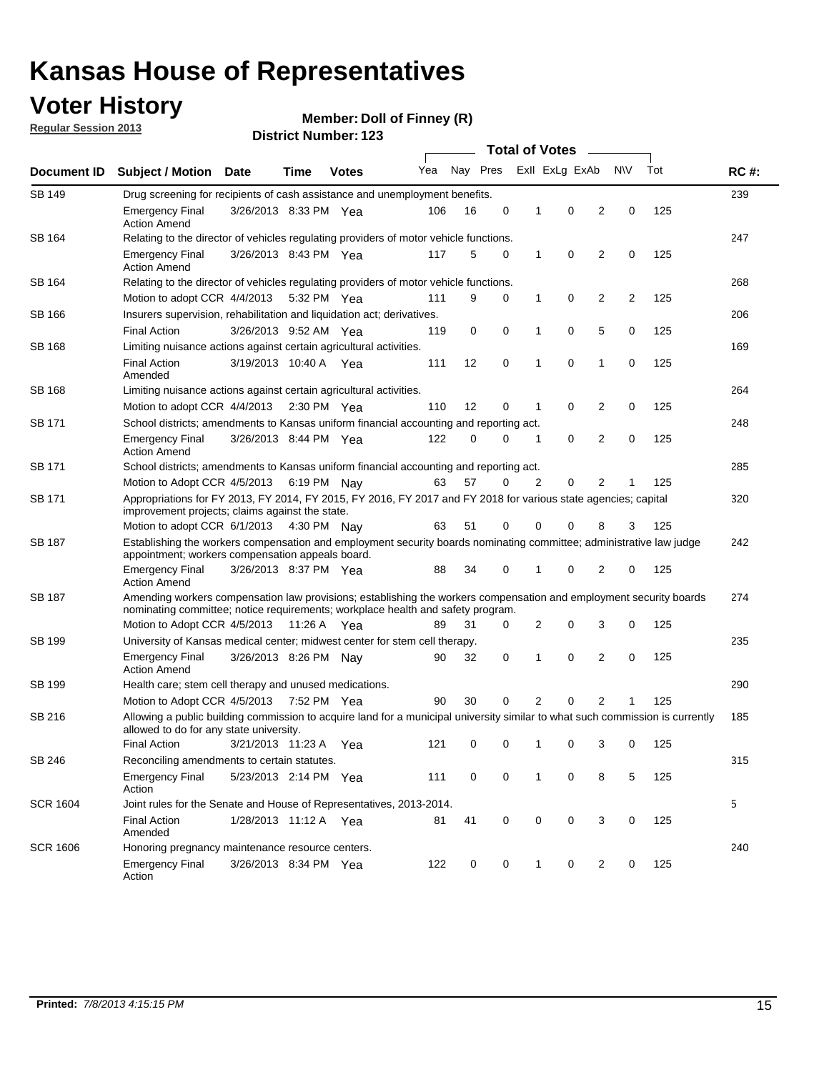### **Voter History**

**Member: Doll of Finney (R)** 

**Regular Session 2013**

|                 |                                                                                                                                                                                                       |                                                                                                      | <b>Total of Votes</b><br>$\sim$ |                                                                           |     |                     |   |   |                |                |           |     |             |
|-----------------|-------------------------------------------------------------------------------------------------------------------------------------------------------------------------------------------------------|------------------------------------------------------------------------------------------------------|---------------------------------|---------------------------------------------------------------------------|-----|---------------------|---|---|----------------|----------------|-----------|-----|-------------|
| Document ID     | Subject / Motion Date                                                                                                                                                                                 |                                                                                                      | <b>Time</b>                     | <b>Votes</b>                                                              | Yea | Nay Pres            |   |   | Exll ExLg ExAb |                | <b>NV</b> | Tot | <b>RC#:</b> |
| <b>SB 149</b>   | Drug screening for recipients of cash assistance and unemployment benefits.                                                                                                                           |                                                                                                      |                                 |                                                                           |     |                     |   |   |                |                |           |     | 239         |
|                 | <b>Emergency Final</b><br><b>Action Amend</b>                                                                                                                                                         |                                                                                                      | 3/26/2013 8:33 PM Yea           |                                                                           | 106 | 16                  | 0 | 1 | 0              | 2              | 0         | 125 |             |
| SB 164          | Relating to the director of vehicles regulating providers of motor vehicle functions.                                                                                                                 |                                                                                                      |                                 |                                                                           |     |                     |   |   |                |                |           |     | 247         |
|                 | <b>Emergency Final</b><br><b>Action Amend</b>                                                                                                                                                         |                                                                                                      | 3/26/2013 8:43 PM Yea           |                                                                           | 117 | 5                   | 0 | 1 | 0              | 2              | 0         | 125 |             |
| SB 164          | Relating to the director of vehicles regulating providers of motor vehicle functions.                                                                                                                 |                                                                                                      |                                 |                                                                           |     |                     |   |   |                |                |           |     | 268         |
|                 |                                                                                                                                                                                                       | Motion to adopt CCR 4/4/2013<br>9<br>0<br>2<br>$\overline{2}$<br>125<br>5:32 PM Yea<br>111<br>0<br>1 |                                 |                                                                           |     |                     |   |   |                |                |           |     |             |
| SB 166          | Insurers supervision, rehabilitation and liquidation act; derivatives.                                                                                                                                |                                                                                                      |                                 |                                                                           |     |                     |   |   |                |                |           |     | 206         |
|                 | <b>Final Action</b>                                                                                                                                                                                   |                                                                                                      | 3/26/2013 9:52 AM Yea           |                                                                           | 119 | 0                   | 0 | 1 | 0              | 5              | 0         | 125 |             |
| SB 168          | Limiting nuisance actions against certain agricultural activities.                                                                                                                                    |                                                                                                      |                                 |                                                                           |     |                     |   |   |                |                |           |     | 169         |
|                 | <b>Final Action</b><br>Amended                                                                                                                                                                        | 3/19/2013 10:40 A Yea                                                                                |                                 |                                                                           | 111 | 12                  | 0 | 1 | 0              | 1              | 0         | 125 |             |
| SB 168          |                                                                                                                                                                                                       |                                                                                                      |                                 | 264<br>Limiting nuisance actions against certain agricultural activities. |     |                     |   |   |                |                |           |     |             |
|                 | Motion to adopt CCR 4/4/2013 2:30 PM Yea                                                                                                                                                              |                                                                                                      |                                 |                                                                           | 110 | $12 \overline{ }$   | 0 | 1 | 0              | 2              | 0         | 125 |             |
| SB 171          | School districts; amendments to Kansas uniform financial accounting and reporting act.                                                                                                                |                                                                                                      |                                 |                                                                           |     |                     |   |   |                |                |           |     | 248         |
|                 | <b>Emergency Final</b><br><b>Action Amend</b>                                                                                                                                                         |                                                                                                      | 3/26/2013 8:44 PM Yea           |                                                                           | 122 | 0                   | 0 | 1 | 0              | 2              | 0         | 125 |             |
| SB 171          | School districts; amendments to Kansas uniform financial accounting and reporting act.                                                                                                                |                                                                                                      |                                 |                                                                           |     |                     |   |   |                |                |           |     | 285         |
|                 | Motion to Adopt CCR 4/5/2013                                                                                                                                                                          |                                                                                                      |                                 | 6:19 PM Nay                                                               | 63  | 57                  | 0 | 2 | 0              | 2              | 1         | 125 |             |
| SB 171          | Appropriations for FY 2013, FY 2014, FY 2015, FY 2016, FY 2017 and FY 2018 for various state agencies; capital<br>improvement projects; claims against the state.                                     |                                                                                                      |                                 |                                                                           |     |                     |   |   |                |                |           |     | 320         |
|                 | Motion to adopt CCR 6/1/2013 4:30 PM Nay                                                                                                                                                              |                                                                                                      |                                 |                                                                           | 63  | 51                  | 0 | 0 | 0              | 8              | 3         | 125 |             |
| SB 187          | Establishing the workers compensation and employment security boards nominating committee; administrative law judge<br>appointment; workers compensation appeals board.                               |                                                                                                      |                                 |                                                                           |     |                     |   |   |                |                |           |     | 242         |
|                 | <b>Emergency Final</b><br><b>Action Amend</b>                                                                                                                                                         | 3/26/2013 8:37 PM Yea                                                                                |                                 |                                                                           | 88  | 34                  | 0 | 1 | 0              | 2              | 0         | 125 |             |
| SB 187          | Amending workers compensation law provisions; establishing the workers compensation and employment security boards<br>nominating committee; notice requirements; workplace health and safety program. |                                                                                                      |                                 |                                                                           |     |                     |   |   |                |                |           |     | 274         |
|                 | Motion to Adopt CCR 4/5/2013 11:26 A Yea                                                                                                                                                              |                                                                                                      |                                 |                                                                           | 89  | 31                  | 0 | 2 | 0              | 3              | 0         | 125 |             |
| SB 199          | University of Kansas medical center; midwest center for stem cell therapy.                                                                                                                            |                                                                                                      |                                 |                                                                           |     |                     |   |   |                |                |           |     | 235         |
|                 | <b>Emergency Final</b><br><b>Action Amend</b>                                                                                                                                                         |                                                                                                      | 3/26/2013 8:26 PM Nay           |                                                                           | 90  | 32                  | 0 | 1 | $\mathbf 0$    | 2              | 0         | 125 |             |
| SB 199          | Health care; stem cell therapy and unused medications.                                                                                                                                                |                                                                                                      |                                 |                                                                           |     |                     |   |   |                |                |           |     | 290         |
|                 | Motion to Adopt CCR 4/5/2013 7:52 PM Yea                                                                                                                                                              |                                                                                                      |                                 |                                                                           | 90  | 30                  | 0 | 2 | 0              | $\overline{2}$ | 1         | 125 |             |
| SB 216          | Allowing a public building commission to acquire land for a municipal university similar to what such commission is currently<br>allowed to do for any state university.                              |                                                                                                      |                                 |                                                                           |     |                     |   |   |                |                |           |     | 185         |
|                 | Final Action 3/21/2013 11:23 A Yea                                                                                                                                                                    |                                                                                                      |                                 |                                                                           |     | 121 0 0 1 0 3 0 125 |   |   |                |                |           |     |             |
| SB 246          | Reconciling amendments to certain statutes.                                                                                                                                                           |                                                                                                      |                                 |                                                                           |     |                     |   |   |                |                |           |     | 315         |
|                 | <b>Emergency Final</b><br>Action                                                                                                                                                                      |                                                                                                      | 5/23/2013 2:14 PM Yea           |                                                                           | 111 | 0                   | 0 | 1 | 0              | 8              | 5         | 125 |             |
| SCR 1604        | Joint rules for the Senate and House of Representatives, 2013-2014.                                                                                                                                   |                                                                                                      |                                 |                                                                           |     |                     |   |   |                |                |           |     | 5           |
|                 | <b>Final Action</b><br>Amended                                                                                                                                                                        |                                                                                                      | 1/28/2013 11:12 A Yea           |                                                                           | 81  | 41                  | 0 | 0 | 0              | 3              | 0         | 125 |             |
| <b>SCR 1606</b> |                                                                                                                                                                                                       | Honoring pregnancy maintenance resource centers.                                                     |                                 |                                                                           |     |                     |   |   |                |                |           | 240 |             |
|                 | <b>Emergency Final</b><br>Action                                                                                                                                                                      |                                                                                                      | 3/26/2013 8:34 PM Yea           |                                                                           | 122 | 0                   | 0 | 1 | 0              | 2              | 0         | 125 |             |